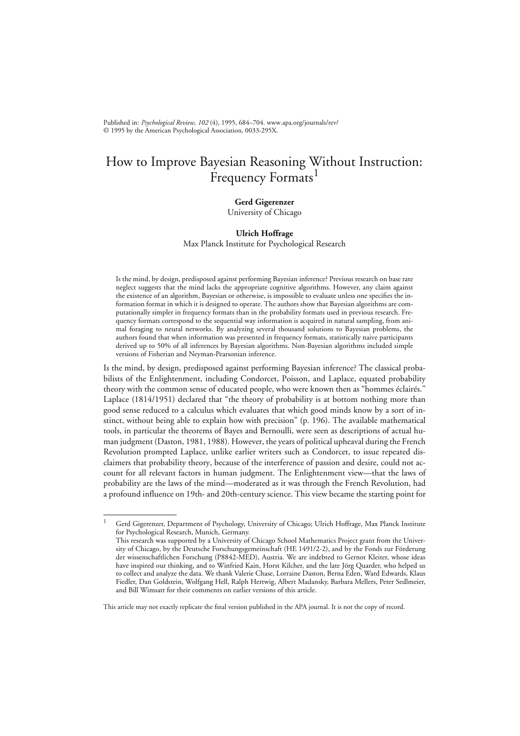Published in: *Psychological Review, 102* (4), 1995, 684–704. www.apa.org/journals/rev/ © 1995 by the American Psychological Association, 0033-295X.

# How to Improve Bayesian Reasoning Without Instruction: Frequency Formats<sup>1</sup>

#### **Gerd Gigerenzer**

University of Chicago

#### **Ulrich Hoffrage**

Max Planck Institute for Psychological Research

Is the mind, by design, predisposed against performing Bayesian inference? Previous research on base rate neglect suggests that the mind lacks the appropriate cognitive algorithms. However, any claim against the existence of an algorithm, Bayesian or otherwise, is impossible to evaluate unless one specifies the information format in which it is designed to operate. The authors show that Bayesian algorithms are computationally simpler in frequency formats than in the probability formats used in previous research. Frequency formats correspond to the sequential way information is acquired in natural sampling, from animal foraging to neural networks. By analyzing several thousand solutions to Bayesian problems, the authors found that when information was presented in frequency formats, statistically naive participants derived up to 50% of all inferences by Bayesian algorithms. Non-Bayesian algorithms included simple versions of Fisherian and Neyman-Pearsonian inference.

Is the mind, by design, predisposed against performing Bayesian inference? The classical probabilists of the Enlightenment, including Condorcet, Poisson, and Laplace, equated probability theory with the common sense of educated people, who were known then as "hommes éclairés." Laplace (1814/1951) declared that "the theory of probability is at bottom nothing more than good sense reduced to a calculus which evaluates that which good minds know by a sort of instinct, without being able to explain how with precision" (p. 196). The available mathematical tools, in particular the theorems of Bayes and Bernoulli, were seen as descriptions of actual human judgment (Daston, 1981, 1988). However, the years of political upheaval during the French Revolution prompted Laplace, unlike earlier writers such as Condorcet, to issue repeated disclaimers that probability theory, because of the interference of passion and desire, could not account for all relevant factors in human judgment. The Enlightenment view—that the laws of probability are the laws of the mind—moderated as it was through the French Revolution, had a profound influence on 19th- and 20th-century science. This view became the starting point for

This article may not exactly replicate the final version published in the APA journal. It is not the copy of record.

<sup>1</sup> Gerd Gigerenzer, Department of Psychology, University of Chicago; Ulrich Hoffrage, Max Planck Institute for Psychological Research, Munich, Germany.

This research was supported by a University of Chicago School Mathematics Project grant from the University of Chicago, by the Deutsche Forschungsgemeinschaft (HE 1491/2-2), and by the Fonds zur Förderung der wissenschaftlichen Forschung (P8842-MED), Austria. We are indebted to Gernot Kleiter, whose ideas have inspired our thinking, and to Winfried Kain, Horst Kilcher, and the late Jörg Quarder, who helped us to collect and analyze the data. We thank Valerie Chase, Lorraine Daston, Berna Eden, Ward Edwards, Klaus Fiedler, Dan Goldstein, Wolfgang Hell, Ralph Hertwig, Albert Madansky, Barbara Mellers, Peter Sedlmeier, and Bill Wimsatt for their comments on earlier versions of this article.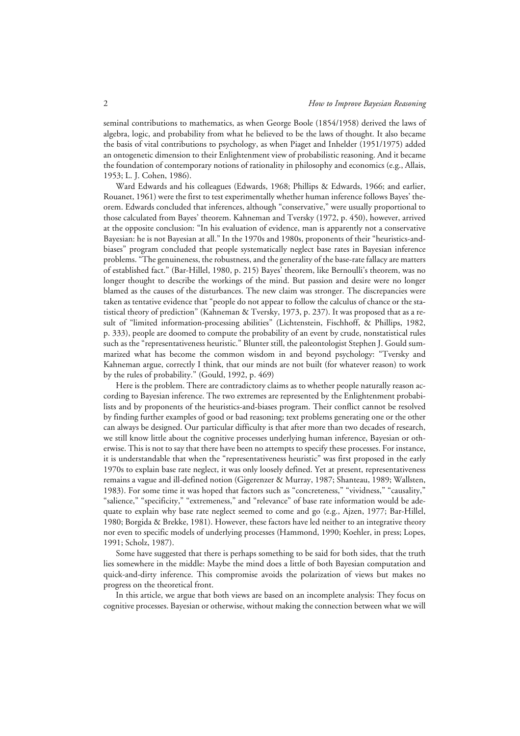seminal contributions to mathematics, as when George Boole (1854/1958) derived the laws of algebra, logic, and probability from what he believed to be the laws of thought. It also became the basis of vital contributions to psychology, as when Piaget and Inhelder (1951/1975) added an ontogenetic dimension to their Enlightenment view of probabilistic reasoning. And it became the foundation of contemporary notions of rationality in philosophy and economics (e.g., Allais, 1953; L. J. Cohen, 1986).

Ward Edwards and his colleagues (Edwards, 1968; Phillips & Edwards, 1966; and earlier, Rouanet, 1961) were the first to test experimentally whether human inference follows Bayes' theorem. Edwards concluded that inferences, although "conservative," were usually proportional to those calculated from Bayes' theorem. Kahneman and Tversky (1972, p. 450), however, arrived at the opposite conclusion: "In his evaluation of evidence, man is apparently not a conservative Bayesian: he is not Bayesian at all." In the 1970s and 1980s, proponents of their "heuristics-andbiases" program concluded that people systematically neglect base rates in Bayesian inference problems. "The genuineness, the robustness, and the generality of the base-rate fallacy are matters of established fact." (Bar-Hillel, 1980, p. 215) Bayes' theorem, like Bernoulli's theorem, was no longer thought to describe the workings of the mind. But passion and desire were no longer blamed as the causes of the disturbances. The new claim was stronger. The discrepancies were taken as tentative evidence that "people do not appear to follow the calculus of chance or the statistical theory of prediction" (Kahneman & Tversky, 1973, p. 237). It was proposed that as a result of "limited information-processing abilities" (Lichtenstein, Fischhoff, & Phillips, 1982, p. 333), people are doomed to compute the probability of an event by crude, nonstatistical rules such as the "representativeness heuristic." Blunter still, the paleontologist Stephen J. Gould summarized what has become the common wisdom in and beyond psychology: "Tversky and Kahneman argue, correctly I think, that our minds are not built (for whatever reason) to work by the rules of probability." (Gould, 1992, p. 469)

Here is the problem. There are contradictory claims as to whether people naturally reason according to Bayesian inference. The two extremes are represented by the Enlightenment probabilists and by proponents of the heuristics-and-biases program. Their conflict cannot be resolved by finding further examples of good or bad reasoning; text problems generating one or the other can always be designed. Our particular difficulty is that after more than two decades of research, we still know little about the cognitive processes underlying human inference, Bayesian or otherwise. This is not to say that there have been no attempts to specify these processes. For instance, it is understandable that when the "representativeness heuristic" was first proposed in the early 1970s to explain base rate neglect, it was only loosely defined. Yet at present, representativeness remains a vague and ill-defined notion (Gigerenzer & Murray, 1987; Shanteau, 1989; Wallsten, 1983). For some time it was hoped that factors such as "concreteness," "vividness," "causality," "salience," "specificity," "extremeness," and "relevance" of base rate information would be adequate to explain why base rate neglect seemed to come and go (e.g., Ajzen, 1977; Bar-Hillel, 1980; Borgida & Brekke, 1981). However, these factors have led neither to an integrative theory nor even to specific models of underlying processes (Hammond, 1990; Koehler, in press; Lopes, 1991; Scholz, 1987).

Some have suggested that there is perhaps something to be said for both sides, that the truth lies somewhere in the middle: Maybe the mind does a little of both Bayesian computation and quick-and-dirty inference. This compromise avoids the polarization of views but makes no progress on the theoretical front.

In this article, we argue that both views are based on an incomplete analysis: They focus on cognitive processes. Bayesian or otherwise, without making the connection between what we will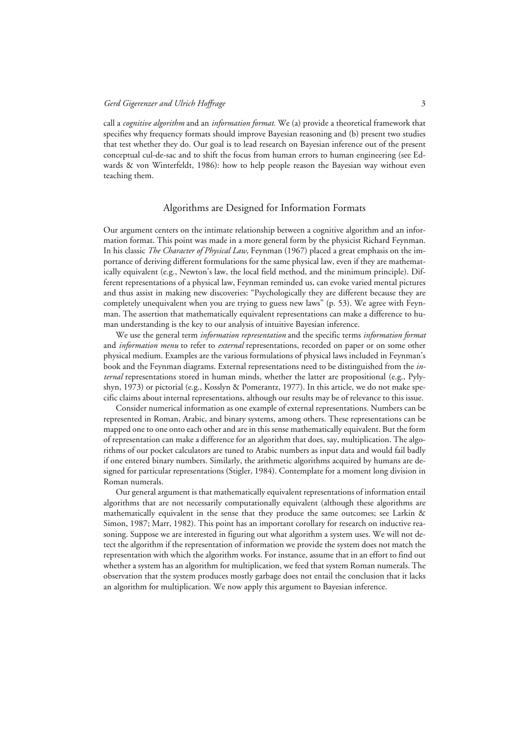call a *cognitive algorithm* and an *information format.* We (a) provide a theoretical framework that specifies why frequency formats should improve Bayesian reasoning and (b) present two studies that test whether they do. Our goal is to lead research on Bayesian inference out of the present conceptual cul-de-sac and to shift the focus from human errors to human engineering (see Edwards & von Winterfeldt, 1986): how to help people reason the Bayesian way without even teaching them.

#### Algorithms are Designed for Information Formats

Our argument centers on the intimate relationship between a cognitive algorithm and an information format. This point was made in a more general form by the physicist Richard Feynman. In his classic *The Character of Physical Law,* Feynman (1967) placed a great emphasis on the importance of deriving different formulations for the same physical law, even if they are mathematically equivalent (e.g., Newton's law, the local field method, and the minimum principle). Different representations of a physical law, Feynman reminded us, can evoke varied mental pictures and thus assist in making new discoveries: "Psychologically they are different because they are completely unequivalent when you are trying to guess new laws" (p. 53). We agree with Feynman. The assertion that mathematically equivalent representations can make a difference to human understanding is the key to our analysis of intuitive Bayesian inference.

We use the general term *information representation* and the specific terms *information format* and *information menu* to refer to *external* representations, recorded on paper or on some other physical medium. Examples are the various formulations of physical laws included in Feynman's book and the Feynman diagrams. External representations need to be distinguished from the *internal* representations stored in human minds, whether the latter are propositional (e.g., Pylyshyn, 1973) or pictorial (e.g., Kosslyn & Pomerantz, 1977). In this article, we do not make specific claims about internal representations, although our results may be of relevance to this issue.

Consider numerical information as one example of external representations. Numbers can be represented in Roman, Arabic, and binary systems, among others. These representations can be mapped one to one onto each other and are in this sense mathematically equivalent. But the form of representation can make a difference for an algorithm that does, say, multiplication. The algorithms of our pocket calculators are tuned to Arabic numbers as input data and would fail badly if one entered binary numbers. Similarly, the arithmetic algorithms acquired by humans are designed for particular representations (Stigler, 1984). Contemplate for a moment long division in Roman numerals.

Our general argument is that mathematically equivalent representations of information entail algorithms that are not necessarily computationally equivalent (although these algorithms are mathematically equivalent in the sense that they produce the same outcomes; see Larkin & Simon, 1987; Marr, 1982). This point has an important corollary for research on inductive reasoning. Suppose we are interested in figuring out what algorithm a system uses. We will not detect the algorithm if the representation of information we provide the system does not match the representation with which the algorithm works. For instance, assume that in an effort to find out whether a system has an algorithm for multiplication, we feed that system Roman numerals. The observation that the system produces mostly garbage does not entail the conclusion that it lacks an algorithm for multiplication. We now apply this argument to Bayesian inference.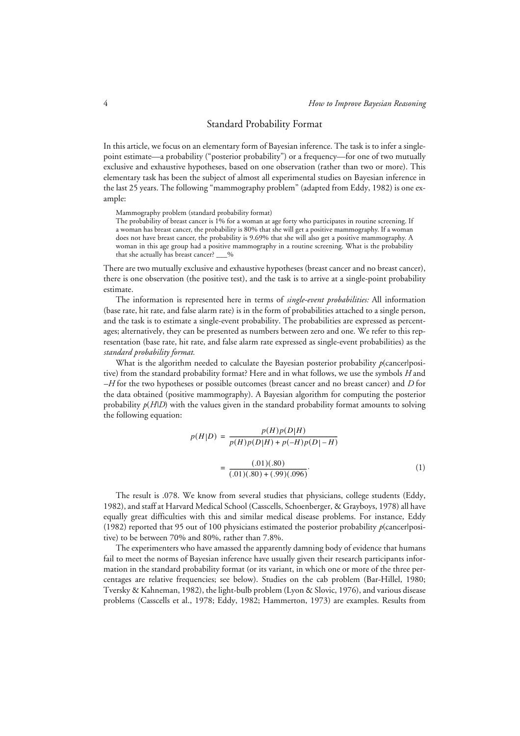#### Standard Probability Format

In this article, we focus on an elementary form of Bayesian inference. The task is to infer a singlepoint estimate—a probability ("posterior probability") or a frequency—for one of two mutually exclusive and exhaustive hypotheses, based on one observation (rather than two or more). This elementary task has been the subject of almost all experimental studies on Bayesian inference in the last 25 years. The following "mammography problem" (adapted from Eddy, 1982) is one example:

Mammography problem (standard probability format)

The probability of breast cancer is 1% for a woman at age forty who participates in routine screening. If a woman has breast cancer, the probability is 80% that she will get a positive mammography. If a woman does not have breast cancer, the probability is 9.69% that she will also get a positive mammography. A woman in this age group had a positive mammography in a routine screening. What is the probability that she actually has breast cancer? \_\_\_%

There are two mutually exclusive and exhaustive hypotheses (breast cancer and no breast cancer), there is one observation (the positive test), and the task is to arrive at a single-point probability estimate.

The information is represented here in terms of *single-event probabilities:* All information (base rate, hit rate, and false alarm rate) is in the form of probabilities attached to a single person, and the task is to estimate a single-event probability. The probabilities are expressed as percentages; alternatively, they can be presented as numbers between zero and one. We refer to this representation (base rate, hit rate, and false alarm rate expressed as single-event probabilities) as the *standard probability format.*

What is the algorithm needed to calculate the Bayesian posterior probability  $p$ (cancer|positive) from the standard probability format? Here and in what follows, we use the symbols *H* and *–H* for the two hypotheses or possible outcomes (breast cancer and no breast cancer) and *D* for the data obtained (positive mammography). A Bayesian algorithm for computing the posterior probability  $p(H|D)$  with the values given in the standard probability format amounts to solving the following equation:

$$
p(H|D) = \frac{p(H)p(D|H)}{p(H)p(D|H) + p(-H)p(D|-H)}
$$

$$
= \frac{.01)(.80)}{(.01)(.80) + (.99)(.096)}.
$$
(1)

The result is .078. We know from several studies that physicians, college students (Eddy, 1982), and staff at Harvard Medical School (Casscells, Schoenberger, & Grayboys, 1978) all have equally great difficulties with this and similar medical disease problems. For instance, Eddy (1982) reported that 95 out of 100 physicians estimated the posterior probability  $p$ (cancer|positive) to be between 70% and 80%, rather than 7.8%.

The experimenters who have amassed the apparently damning body of evidence that humans fail to meet the norms of Bayesian inference have usually given their research participants information in the standard probability format (or its variant, in which one or more of the three percentages are relative frequencies; see below). Studies on the cab problem (Bar-Hillel, 1980; Tversky & Kahneman, 1982), the light-bulb problem (Lyon & Slovic, 1976), and various disease problems (Casscells et al., 1978; Eddy, 1982; Hammerton, 1973) are examples. Results from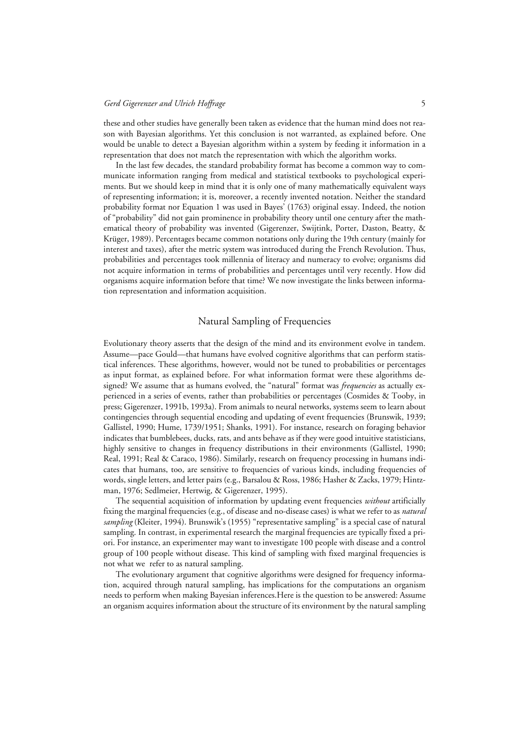#### *Gerd Gigerenzer and Ulrich Hoffrage* 5

these and other studies have generally been taken as evidence that the human mind does not reason with Bayesian algorithms. Yet this conclusion is not warranted, as explained before. One would be unable to detect a Bayesian algorithm within a system by feeding it information in a representation that does not match the representation with which the algorithm works.

In the last few decades, the standard probability format has become a common way to communicate information ranging from medical and statistical textbooks to psychological experiments. But we should keep in mind that it is only one of many mathematically equivalent ways of representing information; it is, moreover, a recently invented notation. Neither the standard probability format nor Equation 1 was used in Bayes' (1763) original essay. Indeed, the notion of "probability" did not gain prominence in probability theory until one century after the mathematical theory of probability was invented (Gigerenzer, Swijtink, Porter, Daston, Beatty, & Krüger, 1989). Percentages became common notations only during the 19th century (mainly for interest and taxes), after the metric system was introduced during the French Revolution. Thus, probabilities and percentages took millennia of literacy and numeracy to evolve; organisms did not acquire information in terms of probabilities and percentages until very recently. How did organisms acquire information before that time? We now investigate the links between information representation and information acquisition.

## Natural Sampling of Frequencies

Evolutionary theory asserts that the design of the mind and its environment evolve in tandem. Assume—pace Gould—that humans have evolved cognitive algorithms that can perform statistical inferences. These algorithms, however, would not be tuned to probabilities or percentages as input format, as explained before. For what information format were these algorithms designed? We assume that as humans evolved, the "natural" format was *frequencies* as actually experienced in a series of events, rather than probabilities or percentages (Cosmides & Tooby, in press; Gigerenzer, 1991b, 1993a). From animals to neural networks, systems seem to learn about contingencies through sequential encoding and updating of event frequencies (Brunswik, 1939; Gallistel, 1990; Hume, 1739/1951; Shanks, 1991). For instance, research on foraging behavior indicates that bumblebees, ducks, rats, and ants behave as if they were good intuitive statisticians, highly sensitive to changes in frequency distributions in their environments (Gallistel, 1990; Real, 1991; Real & Caraco, 1986). Similarly, research on frequency processing in humans indicates that humans, too, are sensitive to frequencies of various kinds, including frequencies of words, single letters, and letter pairs (e.g., Barsalou & Ross, 1986; Hasher & Zacks, 1979; Hintzman, 1976; Sedlmeier, Hertwig, & Gigerenzer, 1995).

The sequential acquisition of information by updating event frequencies *without* artificially fixing the marginal frequencies (e.g., of disease and no-disease cases) is what we refer to as *natural sampling* (Kleiter, 1994). Brunswik's (1955) "representative sampling" is a special case of natural sampling. In contrast, in experimental research the marginal frequencies are typically fixed a priori. For instance, an experimenter may want to investigate 100 people with disease and a control group of 100 people without disease. This kind of sampling with fixed marginal frequencies is not what we refer to as natural sampling.

The evolutionary argument that cognitive algorithms were designed for frequency information, acquired through natural sampling, has implications for the computations an organism needs to perform when making Bayesian inferences.Here is the question to be answered: Assume an organism acquires information about the structure of its environment by the natural sampling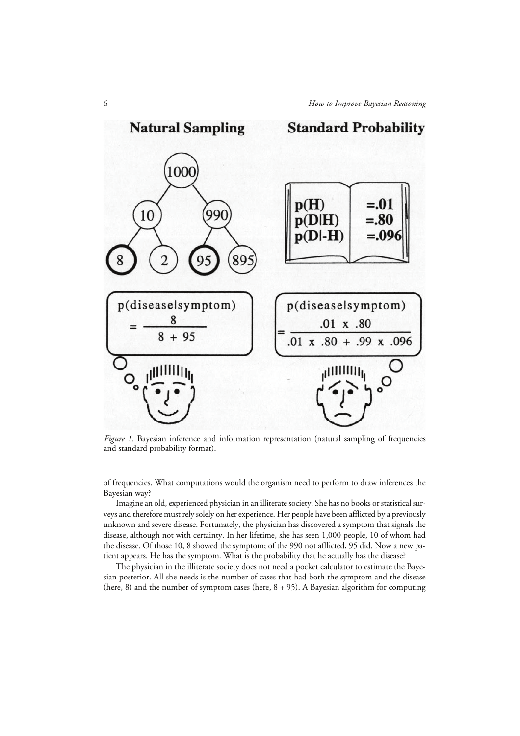

*Figure 1.* Bayesian inference and information representation (natural sampling of frequencies and standard probability format).

of frequencies. What computations would the organism need to perform to draw inferences the Bayesian way?

Imagine an old, experienced physician in an illiterate society. She has no books or statistical surveys and therefore must rely solely on her experience. Her people have been afflicted by a previously unknown and severe disease. Fortunately, the physician has discovered a symptom that signals the disease, although not with certainty. In her lifetime, she has seen 1,000 people, 10 of whom had the disease. Of those 10, 8 showed the symptom; of the 990 not afflicted, 95 did. Now a new patient appears. He has the symptom. What is the probability that he actually has the disease?

The physician in the illiterate society does not need a pocket calculator to estimate the Bayesian posterior. All she needs is the number of cases that had both the symptom and the disease (here, 8) and the number of symptom cases (here, 8 + 95). A Bayesian algorithm for computing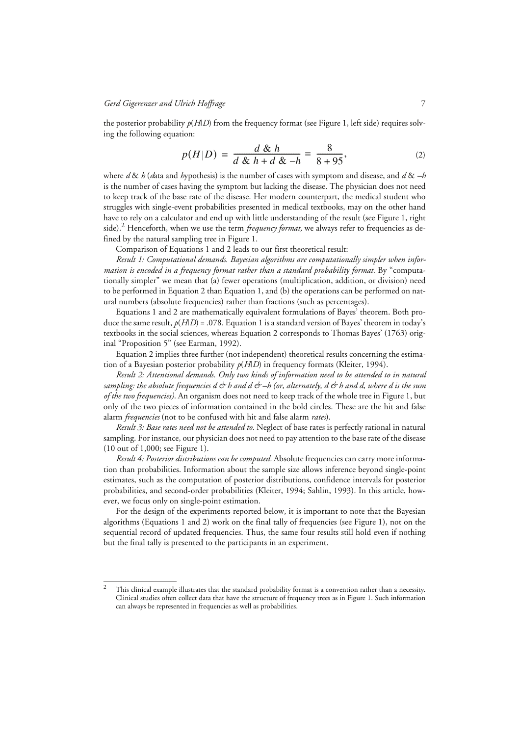#### *Gerd Gigerenzer and Ulrich Hoffrage* 7

the posterior probability  $p(H|D)$  from the frequency format (see Figure 1, left side) requires solving the following equation:

$$
p(H|D) = \frac{d \& h}{d \& h + d \& -h} = \frac{8}{8 + 95},\tag{2}
$$

where *d* & *h* (*d*ata and *h*ypothesis) is the number of cases with symptom and disease, and *d* & *–h* is the number of cases having the symptom but lacking the disease. The physician does not need to keep track of the base rate of the disease. Her modern counterpart, the medical student who struggles with single-event probabilities presented in medical textbooks, may on the other hand have to rely on a calculator and end up with little understanding of the result (see Figure 1, right side).<sup>2</sup> Henceforth, when we use the term *frequency format*, we always refer to frequencies as defined by the natural sampling tree in Figure 1.

Comparison of Equations 1 and 2 leads to our first theoretical result:

*Result 1: Computational demands. Bayesian algorithms are computationally simpler when information is encoded in a frequency format rather than a standard probability format.* By "computationally simpler" we mean that (a) fewer operations (multiplication, addition, or division) need to be performed in Equation 2 than Equation 1, and (b) the operations can be performed on natural numbers (absolute frequencies) rather than fractions (such as percentages).

Equations 1 and 2 are mathematically equivalent formulations of Bayes' theorem. Both produce the same result, *p*(*H*|*D*) = .078. Equation 1 is a standard version of Bayes' theorem in today's textbooks in the social sciences, whereas Equation 2 corresponds to Thomas Bayes' (1763) original "Proposition 5" (see Earman, 1992).

Equation 2 implies three further (not independent) theoretical results concerning the estimation of a Bayesian posterior probability *p*(*H*|*D*) in frequency formats (Kleiter, 1994).

*Result 2: Attentional demands. Only two kinds of information need to be attended to in natural sampling: the absolute frequencies d & h and d & –h (or, alternately, d & h and d, where d is the sum of the two frequencies).* An organism does not need to keep track of the whole tree in Figure 1, but only of the two pieces of information contained in the bold circles. These are the hit and false alarm *frequencies* (not to be confused with hit and false alarm *rates*).

*Result 3: Base rates need not be attended to.* Neglect of base rates is perfectly rational in natural sampling. For instance, our physician does not need to pay attention to the base rate of the disease (10 out of 1,000; see Figure 1).

*Result 4: Posterior distributions can be computed.* Absolute frequencies can carry more information than probabilities. Information about the sample size allows inference beyond single-point estimates, such as the computation of posterior distributions, confidence intervals for posterior probabilities, and second-order probabilities (Kleiter, 1994; Sahlin, 1993). In this article, however, we focus only on single-point estimation.

For the design of the experiments reported below, it is important to note that the Bayesian algorithms (Equations 1 and 2) work on the final tally of frequencies (see Figure 1), not on the sequential record of updated frequencies. Thus, the same four results still hold even if nothing but the final tally is presented to the participants in an experiment.

This clinical example illustrates that the standard probability format is a convention rather than a necessity. Clinical studies often collect data that have the structure of frequency trees as in Figure 1. Such information can always be represented in frequencies as well as probabilities.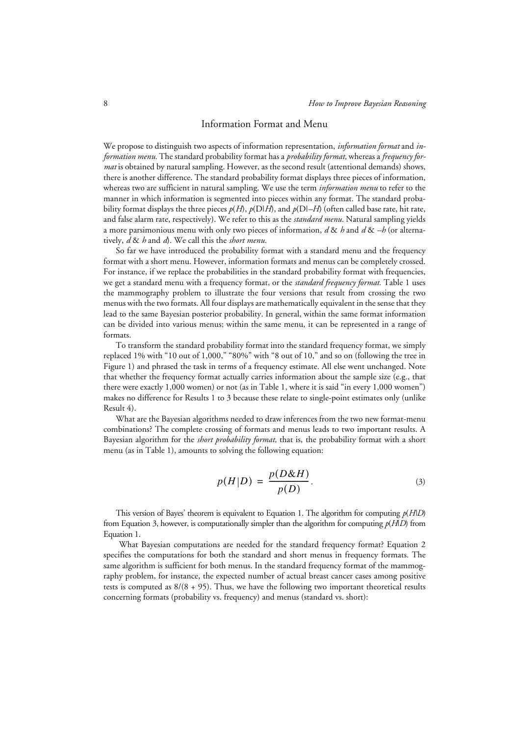### Information Format and Menu

We propose to distinguish two aspects of information representation, *information format* and *information menu.* The standard probability format has a *probability format,* whereas a *frequency format* is obtained by natural sampling. However, as the second result (attentional demands) shows, there is another difference. The standard probability format displays three pieces of information, whereas two are sufficient in natural sampling. We use the term *information menu* to refer to the manner in which information is segmented into pieces within any format. The standard probability format displays the three pieces  $p(H)$ ,  $p(D|H)$ , and  $p(D|-H)$  (often called base rate, hit rate, and false alarm rate, respectively). We refer to this as the *standard menu.* Natural sampling yields a more parsimonious menu with only two pieces of information,  $d \& A$  and  $d \& -h$  (or alternatively, *d* & *h* and *d*). We call this the *short menu.*

So far we have introduced the probability format with a standard menu and the frequency format with a short menu. However, information formats and menus can be completely crossed. For instance, if we replace the probabilities in the standard probability format with frequencies, we get a standard menu with a frequency format, or the *standard frequency format.* Table 1 uses the mammography problem to illustrate the four versions that result from crossing the two menus with the two formats. All four displays are mathematically equivalent in the sense that they lead to the same Bayesian posterior probability. In general, within the same format information can be divided into various menus; within the same menu, it can be represented in a range of formats.

To transform the standard probability format into the standard frequency format, we simply replaced 1% with "10 out of 1,000," "80%" with "8 out of 10," and so on (following the tree in Figure 1) and phrased the task in terms of a frequency estimate. All else went unchanged. Note that whether the frequency format actually carries information about the sample size (e.g., that there were exactly 1,000 women) or not (as in Table 1, where it is said "in every 1,000 women") makes no difference for Results 1 to 3 because these relate to single-point estimates only (unlike Result 4).

What are the Bayesian algorithms needed to draw inferences from the two new format-menu combinations? The complete crossing of formats and menus leads to two important results. A Bayesian algorithm for the *short probability format,* that is, the probability format with a short menu (as in Table 1), amounts to solving the following equation:

$$
p(H|D) = \frac{p(D\&H)}{p(D)}.
$$
\n(3)

This version of Bayes' theorem is equivalent to Equation 1. The algorithm for computing *p*(*H|D*) from Equation 3, however, is computationally simpler than the algorithm for computing  $p(H|D)$  from Equation 1.

 What Bayesian computations are needed for the standard frequency format? Equation 2 specifies the computations for both the standard and short menus in frequency formats. The same algorithm is sufficient for both menus. In the standard frequency format of the mammography problem, for instance, the expected number of actual breast cancer cases among positive tests is computed as  $8/(8 + 95)$ . Thus, we have the following two important theoretical results concerning formats (probability vs. frequency) and menus (standard vs. short):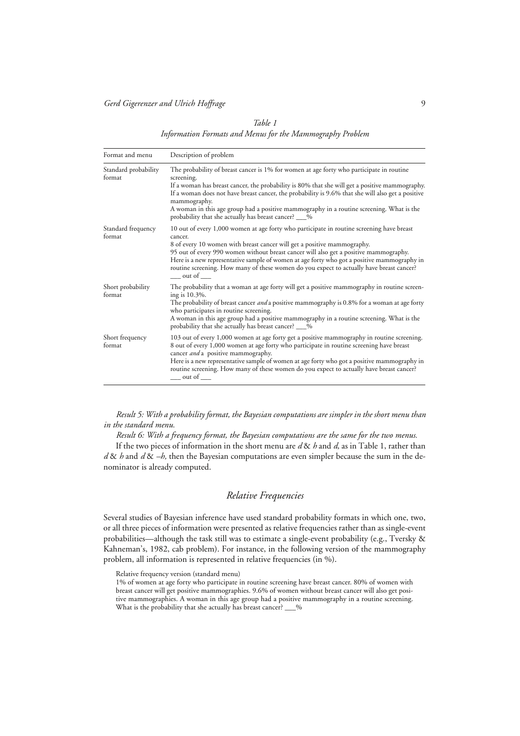| Format and menu                | Description of problem                                                                                                                                                                                                                                                                                                                                                                                                                                                                                                  |
|--------------------------------|-------------------------------------------------------------------------------------------------------------------------------------------------------------------------------------------------------------------------------------------------------------------------------------------------------------------------------------------------------------------------------------------------------------------------------------------------------------------------------------------------------------------------|
| Standard probability<br>format | The probability of breast cancer is 1% for women at age forty who participate in routine<br>screening.<br>If a woman has breast cancer, the probability is 80% that she will get a positive mammography.<br>If a woman does not have breast cancer, the probability is 9.6% that she will also get a positive<br>mammography.<br>A woman in this age group had a positive mammography in a routine screening. What is the<br>probability that she actually has breast cancer? ___%                                      |
| Standard frequency<br>format   | 10 out of every 1,000 women at age forty who participate in routine screening have breast<br>cancer.<br>8 of every 10 women with breast cancer will get a positive mammography.<br>95 out of every 990 women without breast cancer will also get a positive mammography.<br>Here is a new representative sample of women at age forty who got a positive mammography in<br>routine screening. How many of these women do you expect to actually have breast cancer?<br>$\rule{1em}{0.15mm}$ out of $\rule{1em}{0.15mm}$ |
| Short probability<br>format    | The probability that a woman at age forty will get a positive mammography in routine screen-<br>ing is 10.3%.<br>The probability of breast cancer and a positive mammography is 0.8% for a woman at age forty<br>who participates in routine screening.<br>A woman in this age group had a positive mammography in a routine screening. What is the<br>probability that she actually has breast cancer? %                                                                                                               |
| Short frequency<br>format      | 103 out of every 1,000 women at age forty get a positive mammography in routine screening.<br>8 out of every 1,000 women at age forty who participate in routine screening have breast<br>cancer <i>and</i> a positive mammography.<br>Here is a new representative sample of women at age forty who got a positive mammography in<br>routine screening. How many of these women do you expect to actually have breast cancer?<br>$\rule{1em}{0.15mm}$ out of $\rule{1em}{0.15mm}$                                      |

*Table 1 Information Formats and Menus for the Mammography Problem*

*Result 5: With a probability format, the Bayesian computations are simpler in the short menu than in the standard menu.*

*Result 6: With a frequency format, the Bayesian computations are the same for the two menus.*

If the two pieces of information in the short menu are *d* & *h* and *d,* as in Table 1, rather than *d* & *h* and *d* & *–h,* then the Bayesian computations are even simpler because the sum in the denominator is already computed.

### *Relative Frequencies*

Several studies of Bayesian inference have used standard probability formats in which one, two, or all three pieces of information were presented as relative frequencies rather than as single-event probabilities—although the task still was to estimate a single-event probability (e.g., Tversky & Kahneman's, 1982, cab problem). For instance, in the following version of the mammography problem, all information is represented in relative frequencies (in %).

Relative frequency version (standard menu)

1% of women at age forty who participate in routine screening have breast cancer. 80% of women with breast cancer will get positive mammographies. 9.6% of women without breast cancer will also get positive mammographies. A woman in this age group had a positive mammography in a routine screening. What is the probability that she actually has breast cancer? \_\_\_%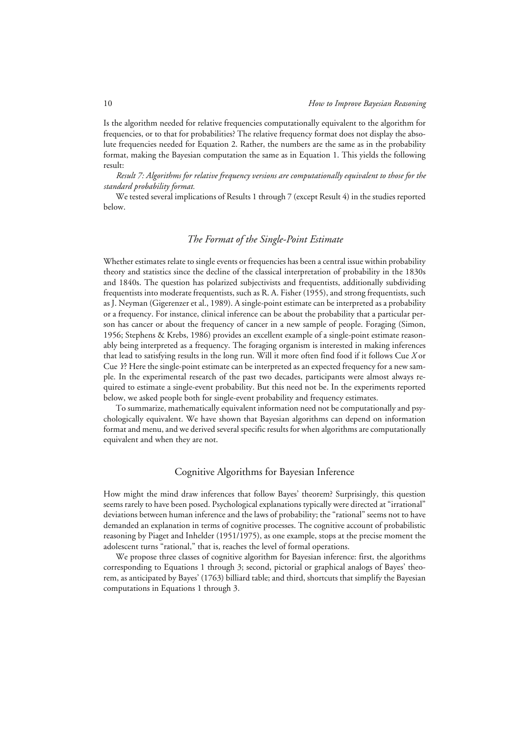Is the algorithm needed for relative frequencies computationally equivalent to the algorithm for frequencies, or to that for probabilities? The relative frequency format does not display the absolute frequencies needed for Equation 2. Rather, the numbers are the same as in the probability format, making the Bayesian computation the same as in Equation 1. This yields the following result:

*Result 7: Algorithms for relative frequency versions are computationally equivalent to those for the standard probability format.*

We tested several implications of Results 1 through 7 (except Result 4) in the studies reported below.

## *The Format of the Single-Point Estimate*

Whether estimates relate to single events or frequencies has been a central issue within probability theory and statistics since the decline of the classical interpretation of probability in the 1830s and 1840s. The question has polarized subjectivists and frequentists, additionally subdividing frequentists into moderate frequentists, such as R. A. Fisher (1955), and strong frequentists, such as J. Neyman (Gigerenzer et al., 1989). A single-point estimate can be interpreted as a probability or a frequency. For instance, clinical inference can be about the probability that a particular person has cancer or about the frequency of cancer in a new sample of people. Foraging (Simon, 1956; Stephens & Krebs, 1986) provides an excellent example of a single-point estimate reasonably being interpreted as a frequency. The foraging organism is interested in making inferences that lead to satisfying results in the long run. Will it more often find food if it follows Cue *X* or Cue *Y*? Here the single-point estimate can be interpreted as an expected frequency for a new sample. In the experimental research of the past two decades, participants were almost always required to estimate a single-event probability. But this need not be. In the experiments reported below, we asked people both for single-event probability and frequency estimates.

To summarize, mathematically equivalent information need not be computationally and psychologically equivalent. We have shown that Bayesian algorithms can depend on information format and menu, and we derived several specific results for when algorithms are computationally equivalent and when they are not.

### Cognitive Algorithms for Bayesian Inference

How might the mind draw inferences that follow Bayes' theorem? Surprisingly, this question seems rarely to have been posed. Psychological explanations typically were directed at "irrational" deviations between human inference and the laws of probability; the "rational" seems not to have demanded an explanation in terms of cognitive processes. The cognitive account of probabilistic reasoning by Piaget and Inhelder (1951/1975), as one example, stops at the precise moment the adolescent turns "rational," that is, reaches the level of formal operations.

We propose three classes of cognitive algorithm for Bayesian inference: first, the algorithms corresponding to Equations 1 through 3; second, pictorial or graphical analogs of Bayes' theorem, as anticipated by Bayes' (1763) billiard table; and third, shortcuts that simplify the Bayesian computations in Equations 1 through 3.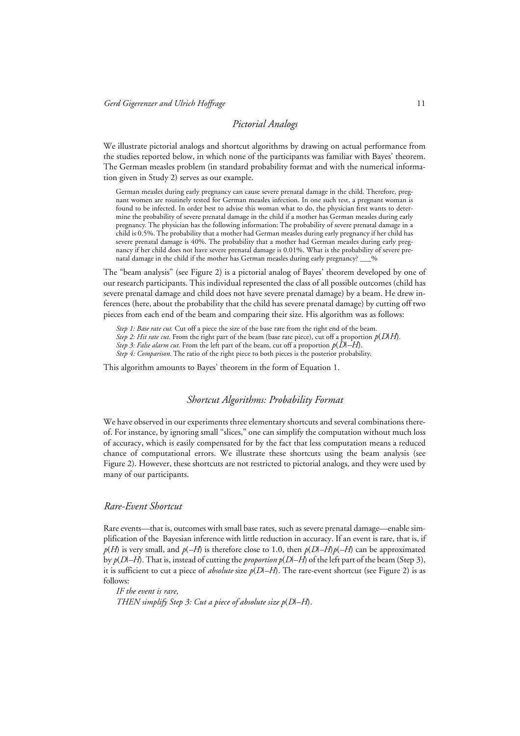## *Pictorial Analogs*

We illustrate pictorial analogs and shortcut algorithms by drawing on actual performance from the studies reported below, in which none of the participants was familiar with Bayes' theorem. The German measles problem (in standard probability format and with the numerical information given in Study 2) serves as our example.

German measles during early pregnancy can cause severe prenatal damage in the child. Therefore, pregnant women are routinely tested for German measles infection. In one such test, a pregnant woman is found to be infected. In order best to advise this woman what to do, the physician first wants to determine the probability of severe prenatal damage in the child if a mother has German measles during early pregnancy. The physician has the following information: The probability of severe prenatal damage in a child is 0.5%. The probability that a mother had German measles during early pregnancy if her child has severe prenatal damage is 40%. The probability that a mother had German measles during early pregnancy if her child does not have severe prenatal damage is 0.01%. What is the probability of severe prenatal damage in the child if the mother has German measles during early pregnancy? \_\_\_%

The "beam analysis" (see Figure 2) is a pictorial analog of Bayes' theorem developed by one of our research participants. This individual represented the class of all possible outcomes (child has severe prenatal damage and child does not have severe prenatal damage) by a beam. He drew inferences (here, about the probability that the child has severe prenatal damage) by cutting off two pieces from each end of the beam and comparing their size. His algorithm was as follows:

*Step 1: Base rate cut.* Cut off a piece the size of the base rate from the right end of the beam.

*Step 2: Hit rate cut.* From the right part of the beam (base rate piece), cut off a proportion *p*(*D*|*H*).

*Step 3: False alarm cut.* From the left part of the beam, cut off a proportion *p*(*D*|*–H*).

*Step 4: Comparison.* The ratio of the right piece to both pieces is the posterior probability.

This algorithm amounts to Bayes' theorem in the form of Equation 1.

## *Shortcut Algorithms: Probability Format*

We have observed in our experiments three elementary shortcuts and several combinations thereof. For instance, by ignoring small "slices," one can simplify the computation without much loss of accuracy, which is easily compensated for by the fact that less computation means a reduced chance of computational errors. We illustrate these shortcuts using the beam analysis (see Figure 2). However, these shortcuts are not restricted to pictorial analogs, and they were used by many of our participants.

## *Rare-Event Shortcut*

Rare events—that is, outcomes with small base rates, such as severe prenatal damage—enable simplification of the Bayesian inference with little reduction in accuracy. If an event is rare, that is, if  $p(H)$  is very small, and  $p(-H)$  is therefore close to 1.0, then  $p(D)-H)p(-H)$  can be approximated by *p*(*D*|*–H*). That is, instead of cutting the *proportion p*(*D*|*–H*) of the left part of the beam (Step 3), it is sufficient to cut a piece of *absolute* size  $p(D|-H)$ . The rare-event shortcut (see Figure 2) is as follows:

*IF the event is rare, THEN simplify Step 3: Cut a piece of absolute size p*(*D*|*–H*).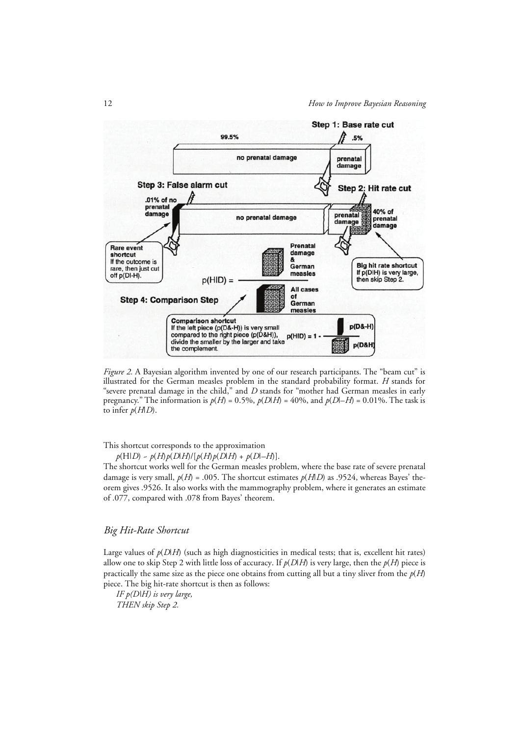

*Figure 2.* A Bayesian algorithm invented by one of our research participants. The "beam cut" is illustrated for the German measles problem in the standard probability format. *H* stands for "severe prenatal damage in the child," and *D* stands for "mother had German measles in early pregnancy." The information is  $p(H) = 0.5\%$ ,  $p(D|H) = 40\%$ , and  $p(D|-H) = 0.01\%$ . The task is to infer  $p(H|D)$ .

#### This shortcut corresponds to the approximation

 $p(H|D)$  ~  $p(H)p(D|H)/[p(H)p(D|H) + p(D|-H)].$ 

The shortcut works well for the German measles problem, where the base rate of severe prenatal damage is very small,  $p(H) = .005$ . The shortcut estimates  $p(H|D)$  as .9524, whereas Bayes' theorem gives .9526. It also works with the mammography problem, where it generates an estimate of .077, compared with .078 from Bayes' theorem.

## *Big Hit-Rate Shortcut*

Large values of  $p(D|H)$  (such as high diagnosticities in medical tests; that is, excellent hit rates) allow one to skip Step 2 with little loss of accuracy. If  $p(D|H)$  is very large, then the  $p(H)$  piece is practically the same size as the piece one obtains from cutting all but a tiny sliver from the  $p(H)$ piece. The big hit-rate shortcut is then as follows:

*IF p(D|H) is very large, THEN skip Step 2.*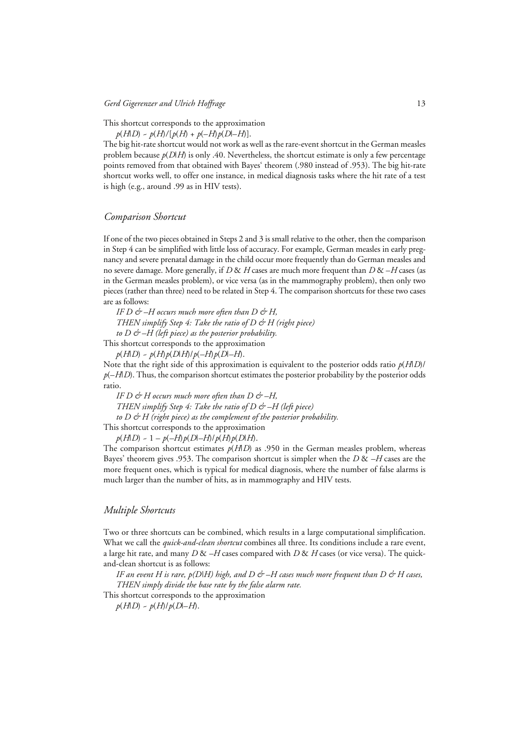This shortcut corresponds to the approximation

 $p(H|D)$  ~  $p(H)/[p(H) + p(-H)p(D|-H)].$ 

The big hit-rate shortcut would not work as well as the rare-event shortcut in the German measles problem because *p*(*D*|*H*) is only .40. Nevertheless, the shortcut estimate is only a few percentage points removed from that obtained with Bayes' theorem (.980 instead of .953). The big hit-rate shortcut works well, to offer one instance, in medical diagnosis tasks where the hit rate of a test is high (e.g., around .99 as in HIV tests).

#### *Comparison Shortcut*

If one of the two pieces obtained in Steps 2 and 3 is small relative to the other, then the comparison in Step 4 can be simplified with little loss of accuracy. For example, German measles in early pregnancy and severe prenatal damage in the child occur more frequently than do German measles and no severe damage. More generally, if *D* & *H* cases are much more frequent than *D* & –*H* cases (as in the German measles problem), or vice versa (as in the mammography problem), then only two pieces (rather than three) need to be related in Step 4. The comparison shortcuts for these two cases are as follows:

*IF D & –H occurs much more often than D & H, THEN simplify Step 4: Take the ratio of D & H (right piece) to D & –H (left piece) as the posterior probability.* This shortcut corresponds to the approximation

*p*(*H*|*D*) ~ *p*(*H*)*p*(*D*|*H*)/*p*(*–H*)*p*(*D*|*–H*).

Note that the right side of this approximation is equivalent to the posterior odds ratio  $p(HD)$ /  $p(-H|D)$ . Thus, the comparison shortcut estimates the posterior probability by the posterior odds ratio.

*IF D & H occurs much more often than D & –H, THEN simplify Step 4: Take the ratio of D & –H (left piece) to D & H (right piece) as the complement of the posterior probability.* This shortcut corresponds to the approximation

 $p(H|D) - 1 - p(-H)p(D|-H)/p(H)p(D|H).$ 

The comparison shortcut estimates  $p(H|D)$  as .950 in the German measles problem, whereas Bayes' theorem gives .953. The comparison shortcut is simpler when the *D* & *–H* cases are the more frequent ones, which is typical for medical diagnosis, where the number of false alarms is much larger than the number of hits, as in mammography and HIV tests.

## *Multiple Shortcuts*

Two or three shortcuts can be combined, which results in a large computational simplification. What we call the *quick-and-clean shortcut* combines all three. Its conditions include a rare event, a large hit rate, and many *D* & *–H* cases compared with *D* & *H* cases (or vice versa). The quickand-clean shortcut is as follows:

*IF an event H is rare, p(D|H) high, and D & –H cases much more frequent than D & H cases, THEN simply divide the base rate by the false alarm rate.*

This shortcut corresponds to the approximation  $p(H|D)$  ~  $p(H)/p(D|-H)$ .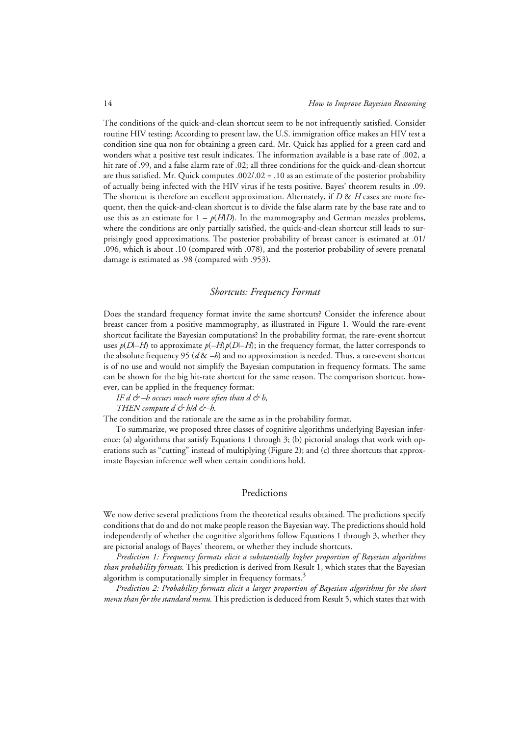The conditions of the quick-and-clean shortcut seem to be not infrequently satisfied. Consider routine HIV testing: According to present law, the U.S. immigration office makes an HIV test a condition sine qua non for obtaining a green card. Mr. Quick has applied for a green card and wonders what a positive test result indicates. The information available is a base rate of .002, a hit rate of .99, and a false alarm rate of .02; all three conditions for the quick-and-clean shortcut are thus satisfied. Mr. Quick computes .002/.02 = .10 as an estimate of the posterior probability of actually being infected with the HIV virus if he tests positive. Bayes' theorem results in .09. The shortcut is therefore an excellent approximation. Alternately, if *D* & *H* cases are more frequent, then the quick-and-clean shortcut is to divide the false alarm rate by the base rate and to use this as an estimate for  $1 - p(HD)$ . In the mammography and German measles problems, where the conditions are only partially satisfied, the quick-and-clean shortcut still leads to surprisingly good approximations. The posterior probability of breast cancer is estimated at .01/ .096, which is about .10 (compared with .078), and the posterior probability of severe prenatal damage is estimated as .98 (compared with .953).

## *Shortcuts: Frequency Format*

Does the standard frequency format invite the same shortcuts? Consider the inference about breast cancer from a positive mammography, as illustrated in Figure 1. Would the rare-event shortcut facilitate the Bayesian computations? In the probability format, the rare-event shortcut uses  $p(D|-H)$  to approximate  $p(-H)p(D|-H)$ ; in the frequency format, the latter corresponds to the absolute frequency 95 ( $d \& -h$ ) and no approximation is needed. Thus, a rare-event shortcut is of no use and would not simplify the Bayesian computation in frequency formats. The same can be shown for the big hit-rate shortcut for the same reason. The comparison shortcut, however, can be applied in the frequency format:

*IF d & –h occurs much more often than d & h,*

*THEN compute d & h/d &–h.*

The condition and the rationale are the same as in the probability format.

To summarize, we proposed three classes of cognitive algorithms underlying Bayesian inference: (a) algorithms that satisfy Equations 1 through 3; (b) pictorial analogs that work with operations such as "cutting" instead of multiplying (Figure 2); and (c) three shortcuts that approximate Bayesian inference well when certain conditions hold.

### Predictions

We now derive several predictions from the theoretical results obtained. The predictions specify conditions that do and do not make people reason the Bayesian way. The predictions should hold independently of whether the cognitive algorithms follow Equations 1 through 3, whether they are pictorial analogs of Bayes' theorem, or whether they include shortcuts.

*Prediction 1: Frequency formats elicit a substantially higher proportion of Bayesian algorithms than probability formats.* This prediction is derived from Result 1, which states that the Bayesian algorithm is computationally simpler in frequency formats. $3$ 

*Prediction 2: Probability formats elicit a larger proportion of Bayesian algorithms for the short menu than for the standard menu.* This prediction is deduced from Result 5, which states that with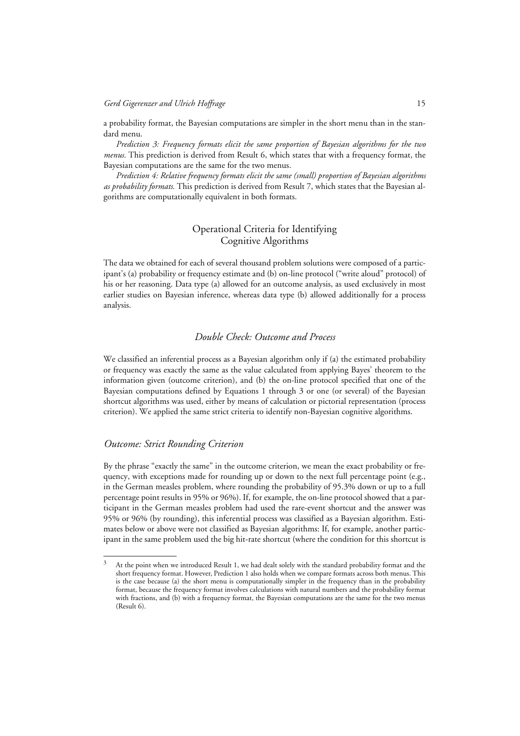#### *Gerd Gigerenzer and Ulrich Hoffrage* 15

a probability format, the Bayesian computations are simpler in the short menu than in the standard menu.

*Prediction 3: Frequency formats elicit the same proportion of Bayesian algorithms for the two menus.* This prediction is derived from Result 6, which states that with a frequency format, the Bayesian computations are the same for the two menus.

*Prediction 4: Relative frequency formats elicit the same (small) proportion of Bayesian algorithms as probability formats.* This prediction is derived from Result 7, which states that the Bayesian algorithms are computationally equivalent in both formats.

## Operational Criteria for Identifying Cognitive Algorithms

The data we obtained for each of several thousand problem solutions were composed of a participant's (a) probability or frequency estimate and (b) on-line protocol ("write aloud" protocol) of his or her reasoning. Data type (a) allowed for an outcome analysis, as used exclusively in most earlier studies on Bayesian inference, whereas data type (b) allowed additionally for a process analysis.

## *Double Check: Outcome and Process*

We classified an inferential process as a Bayesian algorithm only if (a) the estimated probability or frequency was exactly the same as the value calculated from applying Bayes' theorem to the information given (outcome criterion), and (b) the on-line protocol specified that one of the Bayesian computations defined by Equations 1 through 3 or one (or several) of the Bayesian shortcut algorithms was used, either by means of calculation or pictorial representation (process criterion). We applied the same strict criteria to identify non-Bayesian cognitive algorithms.

### *Outcome: Strict Rounding Criterion*

By the phrase "exactly the same" in the outcome criterion, we mean the exact probability or frequency, with exceptions made for rounding up or down to the next full percentage point (e.g., in the German measles problem, where rounding the probability of 95.3% down or up to a full percentage point results in 95% or 96%). If, for example, the on-line protocol showed that a participant in the German measles problem had used the rare-event shortcut and the answer was 95% or 96% (by rounding), this inferential process was classified as a Bayesian algorithm. Estimates below or above were not classified as Bayesian algorithms: If, for example, another participant in the same problem used the big hit-rate shortcut (where the condition for this shortcut is

At the point when we introduced Result 1, we had dealt solely with the standard probability format and the short frequency format. However, Prediction 1 also holds when we compare formats across both menus. This is the case because (a) the short menu is computationally simpler in the frequency than in the probability format, because the frequency format involves calculations with natural numbers and the probability format with fractions, and (b) with a frequency format, the Bayesian computations are the same for the two menus (Result 6).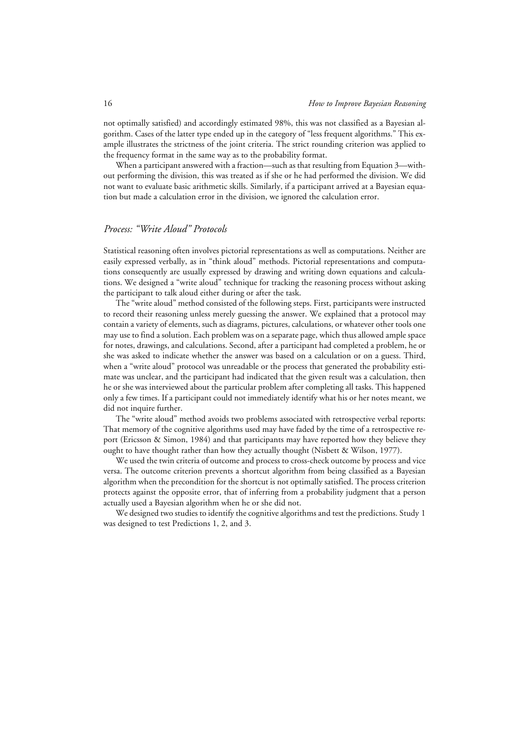not optimally satisfied) and accordingly estimated 98%, this was not classified as a Bayesian algorithm. Cases of the latter type ended up in the category of "less frequent algorithms." This example illustrates the strictness of the joint criteria. The strict rounding criterion was applied to the frequency format in the same way as to the probability format.

When a participant answered with a fraction—such as that resulting from Equation 3—without performing the division, this was treated as if she or he had performed the division. We did not want to evaluate basic arithmetic skills. Similarly, if a participant arrived at a Bayesian equation but made a calculation error in the division, we ignored the calculation error.

## *Process: "Write Aloud" Protocols*

Statistical reasoning often involves pictorial representations as well as computations. Neither are easily expressed verbally, as in "think aloud" methods. Pictorial representations and computations consequently are usually expressed by drawing and writing down equations and calculations. We designed a "write aloud" technique for tracking the reasoning process without asking the participant to talk aloud either during or after the task.

The "write aloud" method consisted of the following steps. First, participants were instructed to record their reasoning unless merely guessing the answer. We explained that a protocol may contain a variety of elements, such as diagrams, pictures, calculations, or whatever other tools one may use to find a solution. Each problem was on a separate page, which thus allowed ample space for notes, drawings, and calculations. Second, after a participant had completed a problem, he or she was asked to indicate whether the answer was based on a calculation or on a guess. Third, when a "write aloud" protocol was unreadable or the process that generated the probability estimate was unclear, and the participant had indicated that the given result was a calculation, then he or she was interviewed about the particular problem after completing all tasks. This happened only a few times. If a participant could not immediately identify what his or her notes meant, we did not inquire further.

The "write aloud" method avoids two problems associated with retrospective verbal reports: That memory of the cognitive algorithms used may have faded by the time of a retrospective report (Ericsson & Simon, 1984) and that participants may have reported how they believe they ought to have thought rather than how they actually thought (Nisbett & Wilson, 1977).

We used the twin criteria of outcome and process to cross-check outcome by process and vice versa. The outcome criterion prevents a shortcut algorithm from being classified as a Bayesian algorithm when the precondition for the shortcut is not optimally satisfied. The process criterion protects against the opposite error, that of inferring from a probability judgment that a person actually used a Bayesian algorithm when he or she did not.

We designed two studies to identify the cognitive algorithms and test the predictions. Study 1 was designed to test Predictions 1, 2, and 3.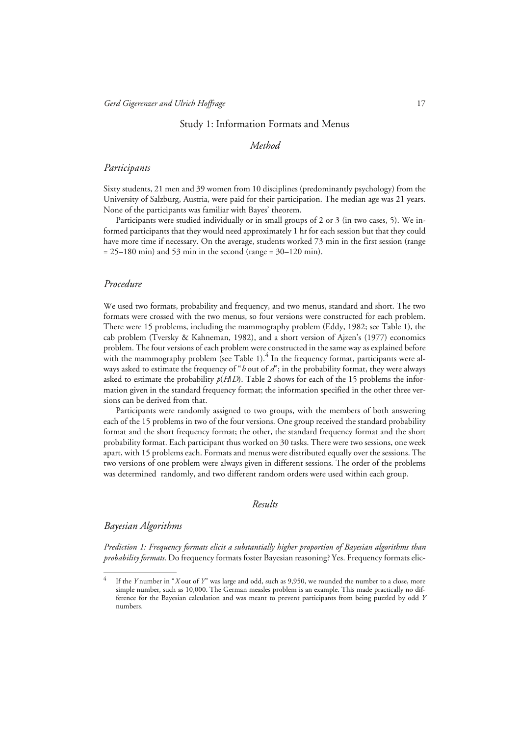## Study 1: Information Formats and Menus

#### *Method*

### *Participants*

Sixty students, 21 men and 39 women from 10 disciplines (predominantly psychology) from the University of Salzburg, Austria, were paid for their participation. The median age was 21 years. None of the participants was familiar with Bayes' theorem.

Participants were studied individually or in small groups of 2 or 3 (in two cases, 5). We informed participants that they would need approximately 1 hr for each session but that they could have more time if necessary. On the average, students worked 73 min in the first session (range  $= 25-180$  min) and 53 min in the second (range  $= 30-120$  min).

## *Procedure*

We used two formats, probability and frequency, and two menus, standard and short. The two formats were crossed with the two menus, so four versions were constructed for each problem. There were 15 problems, including the mammography problem (Eddy, 1982; see Table 1), the cab problem (Tversky & Kahneman, 1982), and a short version of Ajzen's (1977) economics problem. The four versions of each problem were constructed in the same way as explained before with the mammography problem (see Table 1). $^{4}$  In the frequency format, participants were always asked to estimate the frequency of "*h* out of *d*"; in the probability format, they were always asked to estimate the probability  $p(HD)$ . Table 2 shows for each of the 15 problems the information given in the standard frequency format; the information specified in the other three versions can be derived from that.

Participants were randomly assigned to two groups, with the members of both answering each of the 15 problems in two of the four versions. One group received the standard probability format and the short frequency format; the other, the standard frequency format and the short probability format. Each participant thus worked on 30 tasks. There were two sessions, one week apart, with 15 problems each. Formats and menus were distributed equally over the sessions. The two versions of one problem were always given in different sessions. The order of the problems was determined randomly, and two different random orders were used within each group.

### *Results*

### *Bayesian Algorithms*

*Prediction 1: Frequency formats elicit a substantially higher proportion of Bayesian algorithms than probability formats.* Do frequency formats foster Bayesian reasoning? Yes. Frequency formats elic-

<sup>4</sup> If the *Y* number in "*X* out of *Y*" was large and odd, such as 9,950, we rounded the number to a close, more simple number, such as 10,000. The German measles problem is an example. This made practically no difference for the Bayesian calculation and was meant to prevent participants from being puzzled by odd *Y* numbers.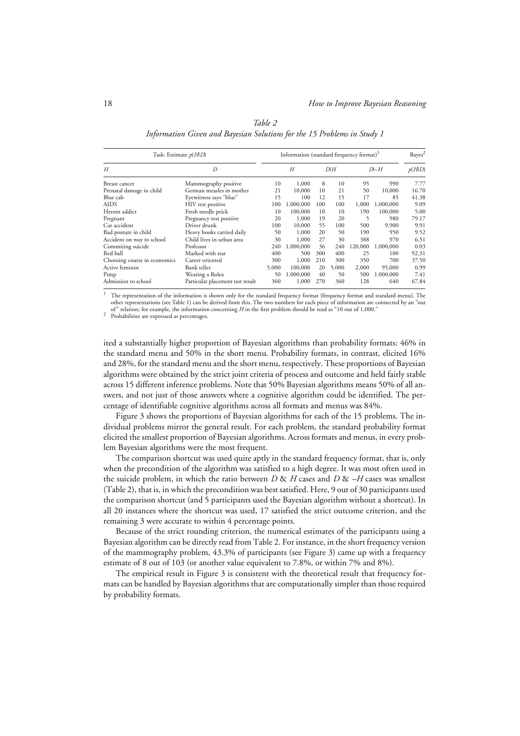| Task: Estimate $p(H D)$      |                                  |       | Information (standard frequency format) <sup>1</sup> |     |       |         |           |        |  |
|------------------------------|----------------------------------|-------|------------------------------------------------------|-----|-------|---------|-----------|--------|--|
| H                            | D                                | H     |                                                      | DH  |       | $D - H$ |           | p(H D) |  |
| Breast cancer                | Mammography positive             | 10    | 1,000                                                | 8   | 10    | 95      | 990       | 7.77   |  |
| Prenatal damage in child     | German measles in mother         | 21    | 10,000                                               | 10  | 21    | 50      | 10,000    | 16.70  |  |
| Blue cab                     | Eyewitness says "blue"           | 15    | 100                                                  | 12  | 15    | 17      | 85        | 41.38  |  |
| AIDS                         | HIV test positive                | 100   | 1,000,000                                            | 100 | 100   | 1,000   | 1,000,000 | 9.09   |  |
| Heroin addict                | Fresh needle prick               | 10    | 100,000                                              | 10  | 10    | 190     | 100,000   | 5.00   |  |
| Pregnant                     | Pregnancy test positive          | 20    | 1,000                                                | 19  | 20    | 5       | 980       | 79.17  |  |
| Car accident                 | Driver drunk                     | 100   | 10,000                                               | 55  | 100   | 500     | 9,900     | 9.91   |  |
| Bad posture in child         | Heavy books carried daily        | 50    | 1,000                                                | 20  | 50    | 190     | 950       | 9.52   |  |
| Accident on way to school    | Child lives in urban area        | 30    | 1,000                                                | 27  | 30    | 388     | 970       | 6.51   |  |
| Commiting suicide            | Professor                        | 240   | 1,000,000                                            | 36  | 240   | 120,000 | 1,000,000 | 0.03   |  |
| Red ball                     | Marked with star                 | 400   | 500                                                  | 300 | 400   | 25      | 100       | 92.31  |  |
| Choosing course in economics | Career oriented                  | 300   | 1,000                                                | 210 | 300   | 350     | 700       | 37.50  |  |
| Active feminist              | Bank teller                      | 5,000 | 100,000                                              | 20  | 5,000 | 2,000   | 95,000    | 0.99   |  |
| Pimp                         | Wearing a Rolex                  | 50    | 1,000,000                                            | 40  | 50    | 500     | 1,000,000 | 7.41   |  |
| Admission to school          | Particular placement test result | 360   | 1,000                                                | 270 | 360   | 128     | 640       | 67.84  |  |

*Table 2 Information Given and Bayesian Solutions for the 15 Problems in Study 1*

 $1$  The representation of the information is shown only for the standard frequency format (frequency format and standard menu). The other representations (see Table 1) can be derived from this. The two numbers for each piece of information are connected by an "out of" relation; for example, the information concerning *H* in the first problem should be read as "10 out of 1,000." <sup>2</sup> Probabilities are expressed as percentages.

ited a substantially higher proportion of Bayesian algorithms than probability formats: 46% in the standard menu and 50% in the short menu. Probability formats, in contrast, elicited 16% and 28%, for the standard menu and the short menu, respectively. These proportions of Bayesian algorithms were obtained by the strict joint criteria of process and outcome and held fairly stable across 15 different inference problems. Note that 50% Bayesian algorithms means 50% of all answers, and not just of those answers where a cognitive algorithm could be identified. The percentage of identifiable cognitive algorithms across all formats and menus was 84%.

Figure 3 shows the proportions of Bayesian algorithms for each of the 15 problems. The individual problems mirror the general result. For each problem, the standard probability format elicited the smallest proportion of Bayesian algorithms. Across formats and menus, in every problem Bayesian algorithms were the most frequent.

The comparison shortcut was used quite aptly in the standard frequency format, that is, only when the precondition of the algorithm was satisfied to a high degree. It was most often used in the suicide problem, in which the ratio between *D* & *H* cases and *D* & *–H* cases was smallest (Table 2), that is, in which the precondition was best satisfied. Here, 9 out of 30 participants used the comparison shortcut (and 5 participants used the Bayesian algorithm without a shortcut). In all 20 instances where the shortcut was used, 17 satisfied the strict outcome criterion, and the remaining 3 were accurate to within 4 percentage points.

Because of the strict rounding criterion, the numerical estimates of the participants using a Bayesian algorithm can be directly read from Table 2. For instance, in the short frequency version of the mammography problem, 43.3% of participants (see Figure 3) came up with a frequency estimate of 8 out of 103 (or another value equivalent to 7.8%, or within 7% and 8%).

The empirical result in Figure 3 is consistent with the theoretical result that frequency formats can be handled by Bayesian algorithms that are computationally simpler than those required by probability formats.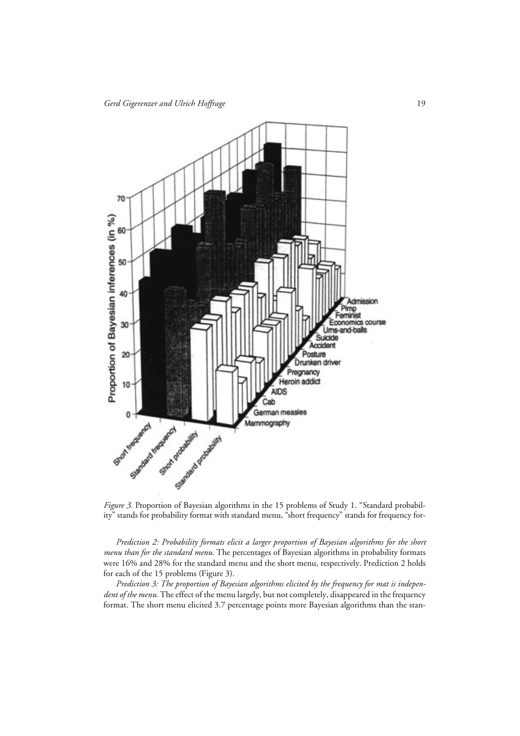

*Figure 3.* Proportion of Bayesian algorithms in the 15 problems of Study 1. "Standard probability" stands for probability format with standard menu, "short frequency" stands for frequency for-

*Prediction 2: Probability formats elicit a larger proportion of Bayesian algorithms for the short menu than for the standard menu.* The percentages of Bayesian algorithms in probability formats were 16% and 28% for the standard menu and the short menu, respectively. Prediction 2 holds for each of the 15 problems (Figure 3).

*Prediction 3: The proportion of Bayesian algorithms elicited by the frequency for mat is independent of the menu.* The effect of the menu largely, but not completely, disappeared in the frequency format. The short menu elicited 3.7 percentage points more Bayesian algorithms than the stan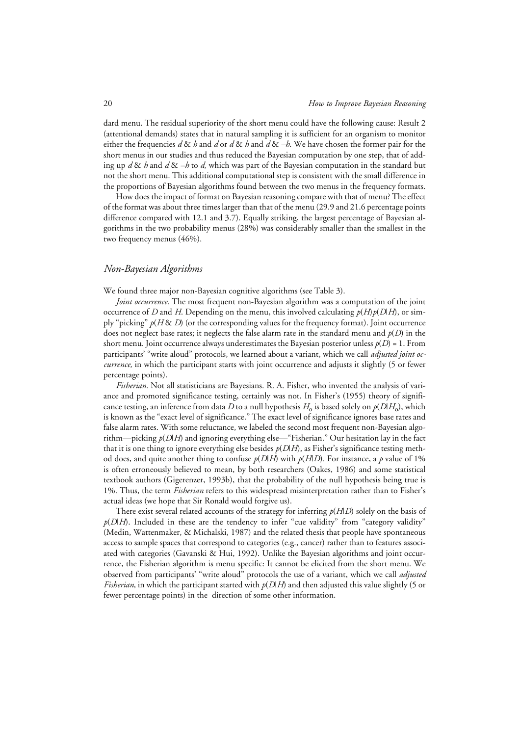dard menu. The residual superiority of the short menu could have the following cause: Result 2 (attentional demands) states that in natural sampling it is sufficient for an organism to monitor either the frequencies *d* & *h* and *d* or *d* & *h* and *d* & *–h*. We have chosen the former pair for the short menus in our studies and thus reduced the Bayesian computation by one step, that of adding up  $d \& b$  and  $d \& -b$  to  $d$ , which was part of the Bayesian computation in the standard but not the short menu. This additional computational step is consistent with the small difference in the proportions of Bayesian algorithms found between the two menus in the frequency formats.

How does the impact of format on Bayesian reasoning compare with that of menu? The effect of the format was about three times larger than that of the menu (29.9 and 21.6 percentage points difference compared with 12.1 and 3.7). Equally striking, the largest percentage of Bayesian algorithms in the two probability menus (28%) was considerably smaller than the smallest in the two frequency menus (46%).

### *Non-Bayesian Algorithms*

We found three major non-Bayesian cognitive algorithms (see Table 3).

*Joint occurrence*. The most frequent non-Bayesian algorithm was a computation of the joint occurrence of *D* and *H*. Depending on the menu, this involved calculating  $p(H)p(D|H)$ , or simply "picking" *p*(*H* & *D*) (or the corresponding values for the frequency format). Joint occurrence does not neglect base rates; it neglects the false alarm rate in the standard menu and *p*(*D*) in the short menu. Joint occurrence always underestimates the Bayesian posterior unless  $p(D) = 1$ . From participants' "write aloud" protocols, we learned about a variant, which we call *adjusted joint occurrence,* in which the participant starts with joint occurrence and adjusts it slightly (5 or fewer percentage points).

*Fisherian.* Not all statisticians are Bayesians. R. A. Fisher, who invented the analysis of variance and promoted significance testing, certainly was not. In Fisher's (1955) theory of significance testing, an inference from data *D* to a null hypothesis  $H_0$  is based solely on  $p(D|H_0)$ , which is known as the "exact level of significance." The exact level of significance ignores base rates and false alarm rates. With some reluctance, we labeled the second most frequent non-Bayesian algorithm—picking  $p(D|H)$  and ignoring everything else—"Fisherian." Our hesitation lay in the fact that it is one thing to ignore everything else besides *p*(*D*|*H*), as Fisher's significance testing method does, and quite another thing to confuse  $p(D|H)$  with  $p(H|D)$ . For instance, a p value of 1% is often erroneously believed to mean, by both researchers (Oakes, 1986) and some statistical textbook authors (Gigerenzer, 1993b), that the probability of the null hypothesis being true is 1%. Thus, the term *Fisherian* refers to this widespread misinterpretation rather than to Fisher's actual ideas (we hope that Sir Ronald would forgive us).

There exist several related accounts of the strategy for inferring  $p(H|D)$  solely on the basis of  $p(D|H)$ . Included in these are the tendency to infer "cue validity" from "category validity" (Medin, Wattenmaker, & Michalski, 1987) and the related thesis that people have spontaneous access to sample spaces that correspond to categories (e.g., cancer) rather than to features associated with categories (Gavanski & Hui, 1992). Unlike the Bayesian algorithms and joint occurrence, the Fisherian algorithm is menu specific: It cannot be elicited from the short menu. We observed from participants' "write aloud" protocols the use of a variant, which we call *adjusted Fisherian,* in which the participant started with *p*(*D*|*H*) and then adjusted this value slightly (5 or fewer percentage points) in the direction of some other information.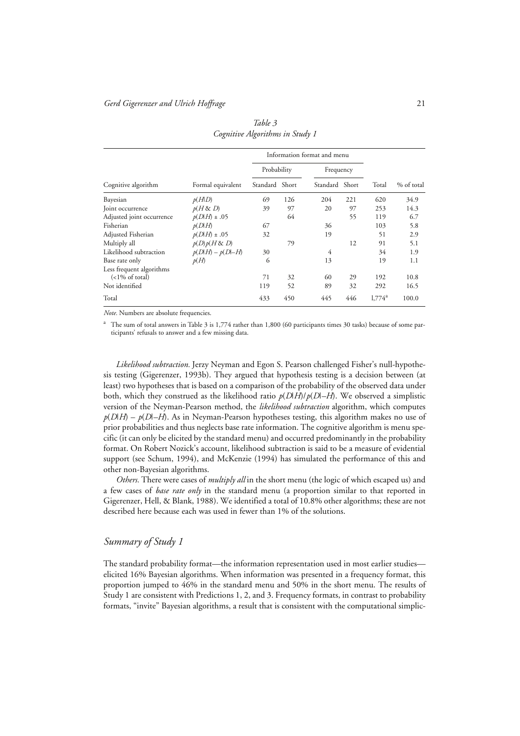|                                                       |                    |                | Information format and menu |                |     |           |            |
|-------------------------------------------------------|--------------------|----------------|-----------------------------|----------------|-----|-----------|------------|
|                                                       | Formal equivalent  | Probability    |                             | Frequency      |     |           |            |
| Cognitive algorithm                                   |                    | Standard Short |                             | Standard Short |     | Total     | % of total |
| Bayesian                                              | p(H D)             | 69             | 126                         | 204            | 221 | 620       | 34.9       |
| Joint occurrence                                      | $p(H \& D)$        | 39             | 97                          | 20             | 97  | 253       | 14.3       |
| Adjusted joint occurrence                             | $p(D H) \pm .05$   |                | 64                          |                | 55  | 119       | 6.7        |
| Fisherian                                             | p(D H)             | 67             |                             | 36             |     | 103       | 5.8        |
| Adjusted Fisherian                                    | $p(D H) \pm .05$   | 32             |                             | 19             |     | 51        | 2.9        |
| Multiply all                                          | $p(D)p(H \& D)$    |                | 79                          |                | 12  | 91        | 5.1        |
| Likelihood subtraction                                | $p(D H) - p(D -H)$ | 30             |                             | 4              |     | 34        | 1.9        |
| Base rate only                                        | p(H)               | 6              |                             | 13             |     | 19        | 1.1        |
| Less frequent algorithms<br>$(<1\% \text{ of total})$ |                    | 71             | 32                          | 60             | 29  | 192       | 10.8       |
| Not identified                                        |                    | 119            | 52                          | 89             | 32  | 292       | 16.5       |
| Total                                                 |                    | 433            | 450                         | 445            | 446 | $1,774^a$ | 100.0      |

*Table 3 Cognitive Algorithms in Study 1*

*Note.* Numbers are absolute frequencies.

The sum of total answers in Table 3 is 1,774 rather than 1,800 (60 participants times 30 tasks) because of some participants' refusals to answer and a few missing data.

*Likelihood subtraction.* Jerzy Neyman and Egon S. Pearson challenged Fisher's null-hypothesis testing (Gigerenzer, 1993b). They argued that hypothesis testing is a decision between (at least) two hypotheses that is based on a comparison of the probability of the observed data under both, which they construed as the likelihood ratio  $p(D|H)/p(D|-H)$ . We observed a simplistic version of the Neyman-Pearson method, the *likelihood subtraction* algorithm, which computes  $p(D|H) - p(D|-H)$ . As in Neyman-Pearson hypotheses testing, this algorithm makes no use of prior probabilities and thus neglects base rate information. The cognitive algorithm is menu specific (it can only be elicited by the standard menu) and occurred predominantly in the probability format. On Robert Nozick's account, likelihood subtraction is said to be a measure of evidential support (see Schum, 1994), and McKenzie (1994) has simulated the performance of this and other non-Bayesian algorithms.

*Others.* There were cases of *multiply all* in the short menu (the logic of which escaped us) and a few cases of *base rate only* in the standard menu (a proportion similar to that reported in Gigerenzer, Hell, & Blank, 1988). We identified a total of 10.8% other algorithms; these are not described here because each was used in fewer than 1% of the solutions.

## *Summary of Study 1*

The standard probability format—the information representation used in most earlier studies elicited 16% Bayesian algorithms. When information was presented in a frequency format, this proportion jumped to 46% in the standard menu and 50% in the short menu. The results of Study 1 are consistent with Predictions 1, 2, and 3. Frequency formats, in contrast to probability formats, "invite" Bayesian algorithms, a result that is consistent with the computational simplic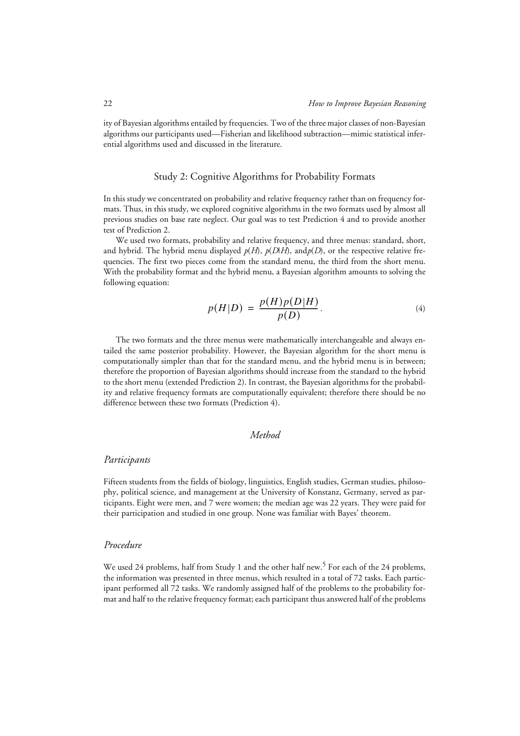ity of Bayesian algorithms entailed by frequencies. Two of the three major classes of non-Bayesian algorithms our participants used—Fisherian and likelihood subtraction—mimic statistical inferential algorithms used and discussed in the literature.

### Study 2: Cognitive Algorithms for Probability Formats

In this study we concentrated on probability and relative frequency rather than on frequency formats. Thus, in this study, we explored cognitive algorithms in the two formats used by almost all previous studies on base rate neglect. Our goal was to test Prediction 4 and to provide another test of Prediction 2.

We used two formats, probability and relative frequency, and three menus: standard, short, and hybrid. The hybrid menu displayed  $p(H)$ ,  $p(D|H)$ , and  $p(D)$ , or the respective relative frequencies. The first two pieces come from the standard menu, the third from the short menu. With the probability format and the hybrid menu, a Bayesian algorithm amounts to solving the following equation:

$$
p(H|D) = \frac{p(H)p(D|H)}{p(D)}.
$$
\n<sup>(4)</sup>

The two formats and the three menus were mathematically interchangeable and always entailed the same posterior probability. However, the Bayesian algorithm for the short menu is computationally simpler than that for the standard menu, and the hybrid menu is in between; therefore the proportion of Bayesian algorithms should increase from the standard to the hybrid to the short menu (extended Prediction 2). In contrast, the Bayesian algorithms for the probability and relative frequency formats are computationally equivalent; therefore there should be no difference between these two formats (Prediction 4).

## *Method*

#### *Participants*

Fifteen students from the fields of biology, linguistics, English studies, German studies, philosophy, political science, and management at the University of Konstanz, Germany, served as participants. Eight were men, and 7 were women; the median age was 22 years. They were paid for their participation and studied in one group. None was familiar with Bayes' theorem.

### *Procedure*

We used 24 problems, half from Study 1 and the other half new.<sup>5</sup> For each of the 24 problems, the information was presented in three menus, which resulted in a total of 72 tasks. Each participant performed all 72 tasks. We randomly assigned half of the problems to the probability format and half to the relative frequency format; each participant thus answered half of the problems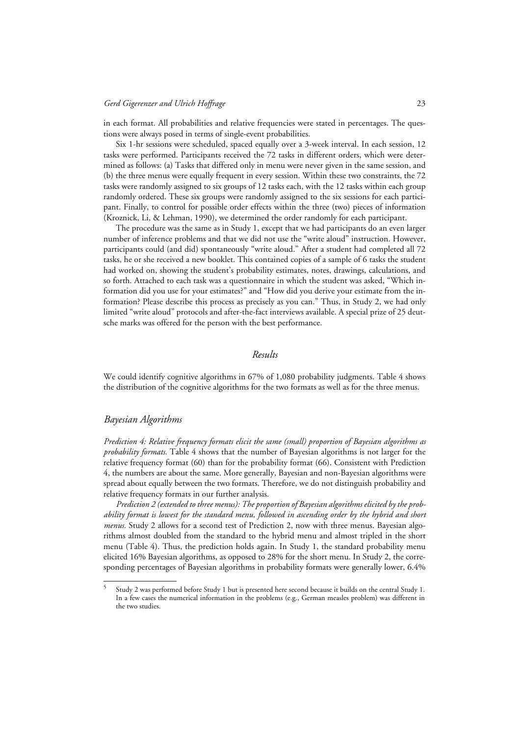#### *Gerd Gigerenzer and Ulrich Hoffrage* 23

in each format. All probabilities and relative frequencies were stated in percentages. The questions were always posed in terms of single-event probabilities.

Six 1-hr sessions were scheduled, spaced equally over a 3-week interval. In each session, 12 tasks were performed. Participants received the 72 tasks in different orders, which were determined as follows: (a) Tasks that differed only in menu were never given in the same session, and (b) the three menus were equally frequent in every session. Within these two constraints, the 72 tasks were randomly assigned to six groups of 12 tasks each, with the 12 tasks within each group randomly ordered. These six groups were randomly assigned to the six sessions for each participant. Finally, to control for possible order effects within the three (two) pieces of information (Kroznick, Li, & Lehman, 1990), we determined the order randomly for each participant.

The procedure was the same as in Study 1, except that we had participants do an even larger number of inference problems and that we did not use the "write aloud" instruction. However, participants could (and did) spontaneously "write aloud." After a student had completed all 72 tasks, he or she received a new booklet. This contained copies of a sample of 6 tasks the student had worked on, showing the student's probability estimates, notes, drawings, calculations, and so forth. Attached to each task was a questionnaire in which the student was asked, "Which information did you use for your estimates?" and "How did you derive your estimate from the information? Please describe this process as precisely as you can." Thus, in Study 2, we had only limited "write aloud" protocols and after-the-fact interviews available. A special prize of 25 deutsche marks was offered for the person with the best performance.

## *Results*

We could identify cognitive algorithms in 67% of 1,080 probability judgments. Table 4 shows the distribution of the cognitive algorithms for the two formats as well as for the three menus.

#### *Bayesian Algorithms*

*Prediction 4: Relative frequency formats elicit the same (small) proportion of Bayesian algorithms as probability formats.* Table 4 shows that the number of Bayesian algorithms is not larger for the relative frequency format (60) than for the probability format (66). Consistent with Prediction 4, the numbers are about the same. More generally, Bayesian and non-Bayesian algorithms were spread about equally between the two formats. Therefore, we do not distinguish probability and relative frequency formats in our further analysis.

*Prediction 2 (extended to three menus): The proportion of Bayesian algorithms elicited by the probability format is lowest for the standard menu, followed in ascending order by the hybrid and short menus.* Study 2 allows for a second test of Prediction 2, now with three menus. Bayesian algorithms almost doubled from the standard to the hybrid menu and almost tripled in the short menu (Table 4). Thus, the prediction holds again. In Study 1, the standard probability menu elicited 16% Bayesian algorithms, as opposed to 28% for the short menu. In Study 2, the corresponding percentages of Bayesian algorithms in probability formats were generally lower, 6.4%

<sup>5</sup> Study 2 was performed before Study 1 but is presented here second because it builds on the central Study 1. In a few cases the numerical information in the problems (e.g., German measles problem) was different in the two studies.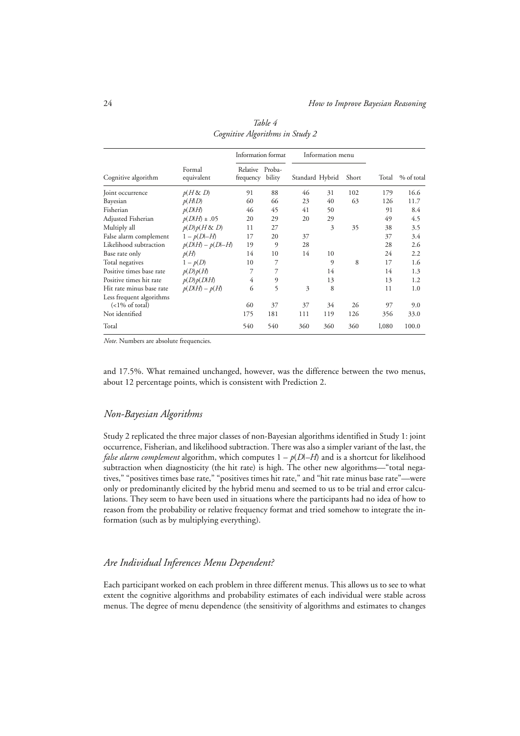|                                                                 |                      | Information format    |                  |                 | Information menu |           |           |             |
|-----------------------------------------------------------------|----------------------|-----------------------|------------------|-----------------|------------------|-----------|-----------|-------------|
| Cognitive algorithm                                             | Formal<br>equivalent | Relative<br>frequency | Proba-<br>bility | Standard Hybrid |                  | Short     | Total     | % of total  |
| Joint occurrence                                                | $p(H \& D)$          | 91                    | 88               | 46              | 31               | 102       | 179       | 16.6        |
| Bayesian                                                        | p(H D)               | 60                    | 66               | 23              | 40               | 63        | 126       | 11.7        |
| Fisherian                                                       | p(D H)               | 46                    | 45               | 41              | 50               |           | 91        | 8.4         |
| Adjusted Fisherian                                              | $p(D H) \pm .05$     | 20                    | 29               | 20              | 29               |           | 49        | 4.5         |
| Multiply all                                                    | $p(D)p(H \& D)$      | 11                    | 27               |                 | 3                | 35        | 38        | 3.5         |
| False alarm complement                                          | $1 - p(D - H)$       | 17                    | 20               | 37              |                  |           | 37        | 3.4         |
| Likelihood subtraction                                          | $p(D H) - p(D -H)$   | 19                    | 9                | 28              |                  |           | 28        | 2.6         |
| Base rate only                                                  | p(H)                 | 14                    | 10               | 14              | 10               |           | 24        | 2.2         |
| Total negatives                                                 | $1-p(D)$             | 10                    | 7                |                 | 9                | 8         | 17        | 1.6         |
| Positive times base rate                                        | p(D)p(H)             | 7                     | 7                |                 | 14               |           | 14        | 1.3         |
| Positive times hit rate                                         | p(D)p(D H)           | 4                     | 9                |                 | 13               |           | 13        | 1.2         |
| Hit rate minus base rate                                        | $p(D H) - p(H)$      | 6                     | 5                | 3               | 8                |           | 11        | 1.0         |
| Less frequent algorithms<br>$($ -1% of total)<br>Not identified |                      | 60<br>175             | 37<br>181        | 37<br>111       | 34<br>119        | 26<br>126 | 97<br>356 | 9.0<br>33.0 |
| Total                                                           |                      | 540                   | 540              | 360             | 360              | 360       | 1,080     | 100.0       |

*Table 4 Cognitive Algorithms in Study 2*

*Note.* Numbers are absolute frequencies.

and 17.5%. What remained unchanged, however, was the difference between the two menus, about 12 percentage points, which is consistent with Prediction 2.

### *Non-Bayesian Algorithms*

Study 2 replicated the three major classes of non-Bayesian algorithms identified in Study 1: joint occurrence, Fisherian, and likelihood subtraction. There was also a simpler variant of the last, the *false alarm complement* algorithm, which computes  $1 - p(D|-H)$  and is a shortcut for likelihood subtraction when diagnosticity (the hit rate) is high. The other new algorithms—"total negatives," "positives times base rate," "positives times hit rate," and "hit rate minus base rate"—were only or predominantly elicited by the hybrid menu and seemed to us to be trial and error calculations. They seem to have been used in situations where the participants had no idea of how to reason from the probability or relative frequency format and tried somehow to integrate the information (such as by multiplying everything).

## *Are Individual Inferences Menu Dependent?*

Each participant worked on each problem in three different menus. This allows us to see to what extent the cognitive algorithms and probability estimates of each individual were stable across menus. The degree of menu dependence (the sensitivity of algorithms and estimates to changes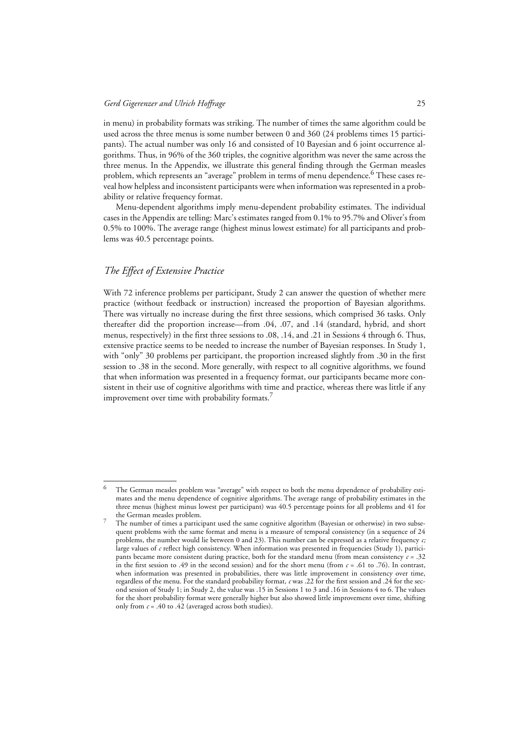#### *Gerd Gigerenzer and Ulrich Hoffrage* 25

in menu) in probability formats was striking. The number of times the same algorithm could be used across the three menus is some number between 0 and 360 (24 problems times 15 participants). The actual number was only 16 and consisted of 10 Bayesian and 6 joint occurrence algorithms. Thus, in 96% of the 360 triples, the cognitive algorithm was never the same across the three menus. In the Appendix, we illustrate this general finding through the German measles problem, which represents an "average" problem in terms of menu dependence.<sup>6</sup> These cases reveal how helpless and inconsistent participants were when information was represented in a probability or relative frequency format.

Menu-dependent algorithms imply menu-dependent probability estimates. The individual cases in the Appendix are telling: Marc's estimates ranged from 0.1% to 95.7% and Oliver's from 0.5% to 100%. The average range (highest minus lowest estimate) for all participants and problems was 40.5 percentage points.

### *The Effect of Extensive Practice*

With 72 inference problems per participant, Study 2 can answer the question of whether mere practice (without feedback or instruction) increased the proportion of Bayesian algorithms. There was virtually no increase during the first three sessions, which comprised 36 tasks. Only thereafter did the proportion increase—from .04, .07, and .14 (standard, hybrid, and short menus, respectively) in the first three sessions to .08, .14, and .21 in Sessions 4 through 6. Thus, extensive practice seems to be needed to increase the number of Bayesian responses. In Study 1, with "only" 30 problems per participant, the proportion increased slightly from .30 in the first session to .38 in the second. More generally, with respect to all cognitive algorithms, we found that when information was presented in a frequency format, our participants became more consistent in their use of cognitive algorithms with time and practice, whereas there was little if any improvement over time with probability formats.<sup>7</sup>

The German measles problem was "average" with respect to both the menu dependence of probability estimates and the menu dependence of cognitive algorithms. The average range of probability estimates in the three menus (highest minus lowest per participant) was 40.5 percentage points for all problems and 41 for the German measles problem.<br>The number of times a participant used the same cognitive algorithm (Bayesian or otherwise) in two subse-

quent problems with the same format and menu is a measure of temporal consistency (in a sequence of 24 problems, the number would lie between 0 and 23). This number can be expressed as a relative frequency *c;* large values of *c* reflect high consistency. When information was presented in frequencies (Study 1), participants became more consistent during practice, both for the standard menu (from mean consistency *c* = .32 in the first session to .49 in the second session) and for the short menu (from *c* = .61 to .76). In contrast, when information was presented in probabilities, there was little improvement in consistency over time, regardless of the menu. For the standard probability format, *c* was .22 for the first session and .24 for the second session of Study 1; in Study 2, the value was .15 in Sessions 1 to 3 and .16 in Sessions 4 to 6. The values for the short probability format were generally higher but also showed little improvement over time, shifting only from *c* = .40 to .42 (averaged across both studies).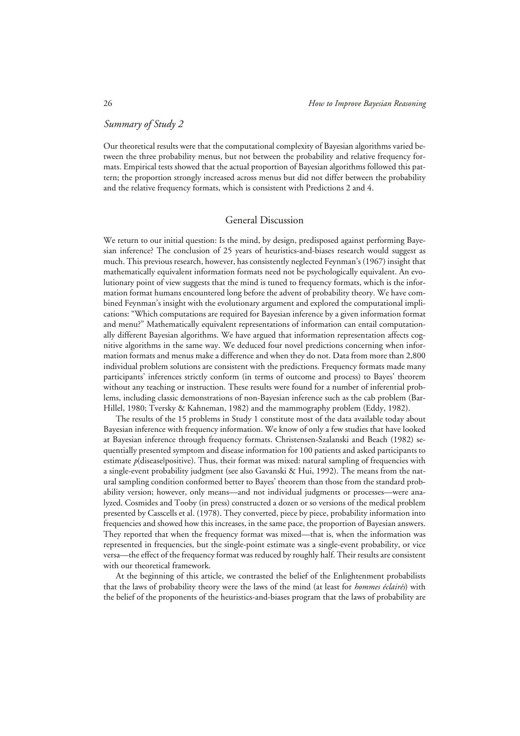## *Summary of Study 2*

Our theoretical results were that the computational complexity of Bayesian algorithms varied between the three probability menus, but not between the probability and relative frequency formats. Empirical tests showed that the actual proportion of Bayesian algorithms followed this pattern; the proportion strongly increased across menus but did not differ between the probability and the relative frequency formats, which is consistent with Predictions 2 and 4.

#### General Discussion

We return to our initial question: Is the mind, by design, predisposed against performing Bayesian inference? The conclusion of 25 years of heuristics-and-biases research would suggest as much. This previous research, however, has consistently neglected Feynman's (1967) insight that mathematically equivalent information formats need not be psychologically equivalent. An evolutionary point of view suggests that the mind is tuned to frequency formats, which is the information format humans encountered long before the advent of probability theory. We have combined Feynman's insight with the evolutionary argument and explored the computational implications: "Which computations are required for Bayesian inference by a given information format and menu?" Mathematically equivalent representations of information can entail computationally different Bayesian algorithms. We have argued that information representation affects cognitive algorithms in the same way. We deduced four novel predictions concerning when information formats and menus make a difference and when they do not. Data from more than 2,800 individual problem solutions are consistent with the predictions. Frequency formats made many participants' inferences strictly conform (in terms of outcome and process) to Bayes' theorem without any teaching or instruction. These results were found for a number of inferential problems, including classic demonstrations of non-Bayesian inference such as the cab problem (Bar-Hillel, 1980; Tversky & Kahneman, 1982) and the mammography problem (Eddy, 1982).

The results of the 15 problems in Study 1 constitute most of the data available today about Bayesian inference with frequency information. We know of only a few studies that have looked at Bayesian inference through frequency formats. Christensen-Szalanski and Beach (1982) sequentially presented symptom and disease information for 100 patients and asked participants to estimate *p*(disease|positive). Thus, their format was mixed: natural sampling of frequencies with a single-event probability judgment (see also Gavanski & Hui, 1992). The means from the natural sampling condition conformed better to Bayes' theorem than those from the standard probability version; however, only means—and not individual judgments or processes—were analyzed. Cosmides and Tooby (in press) constructed a dozen or so versions of the medical problem presented by Casscells et al. (1978). They converted, piece by piece, probability information into frequencies and showed how this increases, in the same pace, the proportion of Bayesian answers. They reported that when the frequency format was mixed—that is, when the information was represented in frequencies, but the single-point estimate was a single-event probability, or vice versa—the effect of the frequency format was reduced by roughly half. Their results are consistent with our theoretical framework.

At the beginning of this article, we contrasted the belief of the Enlightenment probabilists that the laws of probability theory were the laws of the mind (at least for *hommes éclairés*) with the belief of the proponents of the heuristics-and-biases program that the laws of probability are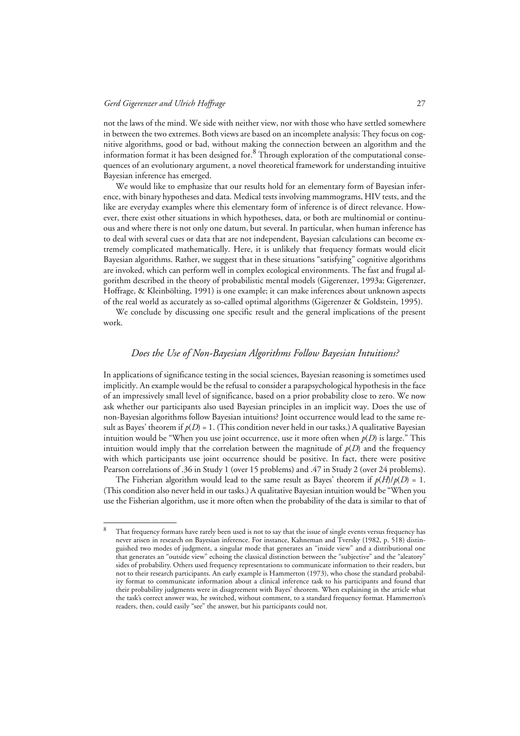#### *Gerd Gigerenzer and Ulrich Hoffrage* 27

not the laws of the mind. We side with neither view, nor with those who have settled somewhere in between the two extremes. Both views are based on an incomplete analysis: They focus on cognitive algorithms, good or bad, without making the connection between an algorithm and the information format it has been designed for.<sup>8</sup> Through exploration of the computational consequences of an evolutionary argument, a novel theoretical framework for understanding intuitive Bayesian inference has emerged.

We would like to emphasize that our results hold for an elementary form of Bayesian inference, with binary hypotheses and data. Medical tests involving mammograms, HIV tests, and the like are everyday examples where this elementary form of inference is of direct relevance. However, there exist other situations in which hypotheses, data, or both are multinomial or continuous and where there is not only one datum, but several. In particular, when human inference has to deal with several cues or data that are not independent, Bayesian calculations can become extremely complicated mathematically. Here, it is unlikely that frequency formats would elicit Bayesian algorithms. Rather, we suggest that in these situations "satisfying" cognitive algorithms are invoked, which can perform well in complex ecological environments. The fast and frugal algorithm described in the theory of probabilistic mental models (Gigerenzer, 1993a; Gigerenzer, Hoffrage, & Kleinbölting, 1991) is one example; it can make inferences about unknown aspects of the real world as accurately as so-called optimal algorithms (Gigerenzer & Goldstein, 1995).

We conclude by discussing one specific result and the general implications of the present work.

### *Does the Use of Non-Bayesian Algorithms Follow Bayesian Intuitions?*

In applications of significance testing in the social sciences, Bayesian reasoning is sometimes used implicitly. An example would be the refusal to consider a parapsychological hypothesis in the face of an impressively small level of significance, based on a prior probability close to zero. We now ask whether our participants also used Bayesian principles in an implicit way. Does the use of non-Bayesian algorithms follow Bayesian intuitions? Joint occurrence would lead to the same result as Bayes' theorem if  $p(D) = 1$ . (This condition never held in our tasks.) A qualitative Bayesian intuition would be "When you use joint occurrence, use it more often when  $p(D)$  is large." This intuition would imply that the correlation between the magnitude of  $p(D)$  and the frequency with which participants use joint occurrence should be positive. In fact, there were positive Pearson correlations of .36 in Study 1 (over 15 problems) and .47 in Study 2 (over 24 problems).

The Fisherian algorithm would lead to the same result as Bayes' theorem if  $p(H)/p(D) = 1$ . (This condition also never held in our tasks.) A qualitative Bayesian intuition would be "When you use the Fisherian algorithm, use it more often when the probability of the data is similar to that of

That frequency formats have rarely been used is not to say that the issue of single events versus frequency has never arisen in research on Bayesian inference. For instance, Kahneman and Tversky (1982, p. 518) distinguished two modes of judgment, a singular mode that generates an "inside view" and a distributional one that generates an "outside view" echoing the classical distinction between the "subjective" and the "aleatory" sides of probability. Others used frequency representations to communicate information to their readers, but not to their research participants. An early example is Hammerton (1973), who chose the standard probability format to communicate information about a clinical inference task to his participants and found that their probability judgments were in disagreement with Bayes' theorem. When explaining in the article what the task's correct answer was, he switched, without comment, to a standard frequency format. Hammerton's readers, then, could easily "see" the answer, but his participants could not.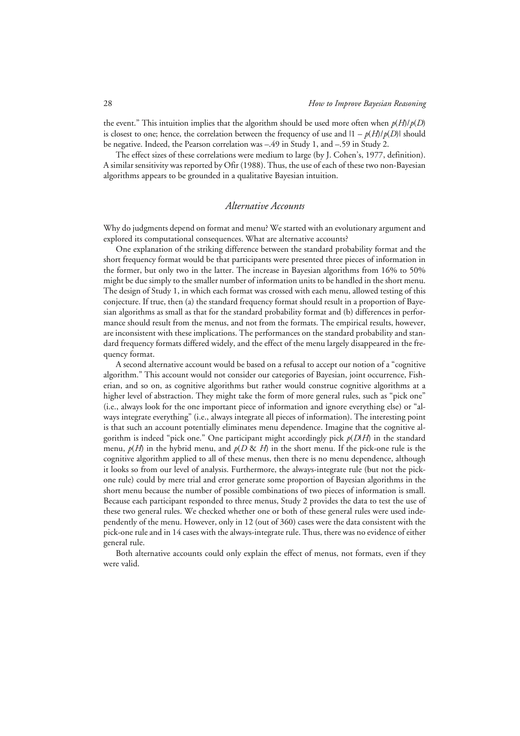the event." This intuition implies that the algorithm should be used more often when  $p(H)/p(D)$ is closest to one; hence, the correlation between the frequency of use and  $|1 - p(H)/p(D)|$  should be negative. Indeed, the Pearson correlation was –.49 in Study 1, and –.59 in Study 2.

The effect sizes of these correlations were medium to large (by J. Cohen's, 1977, definition). A similar sensitivity was reported by Ofir (1988). Thus, the use of each of these two non-Bayesian algorithms appears to be grounded in a qualitative Bayesian intuition.

## *Alternative Accounts*

Why do judgments depend on format and menu? We started with an evolutionary argument and explored its computational consequences. What are alternative accounts?

One explanation of the striking difference between the standard probability format and the short frequency format would be that participants were presented three pieces of information in the former, but only two in the latter. The increase in Bayesian algorithms from 16% to 50% might be due simply to the smaller number of information units to be handled in the short menu. The design of Study 1, in which each format was crossed with each menu, allowed testing of this conjecture. If true, then (a) the standard frequency format should result in a proportion of Bayesian algorithms as small as that for the standard probability format and (b) differences in performance should result from the menus, and not from the formats. The empirical results, however, are inconsistent with these implications. The performances on the standard probability and standard frequency formats differed widely, and the effect of the menu largely disappeared in the frequency format.

A second alternative account would be based on a refusal to accept our notion of a "cognitive algorithm." This account would not consider our categories of Bayesian, joint occurrence, Fisherian, and so on, as cognitive algorithms but rather would construe cognitive algorithms at a higher level of abstraction. They might take the form of more general rules, such as "pick one" (i.e., always look for the one important piece of information and ignore everything else) or "always integrate everything" (i.e., always integrate all pieces of information). The interesting point is that such an account potentially eliminates menu dependence. Imagine that the cognitive algorithm is indeed "pick one." One participant might accordingly pick *p*(*D*|*H*) in the standard menu,  $p(H)$  in the hybrid menu, and  $p(D \& H)$  in the short menu. If the pick-one rule is the cognitive algorithm applied to all of these menus, then there is no menu dependence, although it looks so from our level of analysis. Furthermore, the always-integrate rule (but not the pickone rule) could by mere trial and error generate some proportion of Bayesian algorithms in the short menu because the number of possible combinations of two pieces of information is small. Because each participant responded to three menus, Study 2 provides the data to test the use of these two general rules. We checked whether one or both of these general rules were used independently of the menu. However, only in 12 (out of 360) cases were the data consistent with the pick-one rule and in 14 cases with the always-integrate rule. Thus, there was no evidence of either general rule.

Both alternative accounts could only explain the effect of menus, not formats, even if they were valid.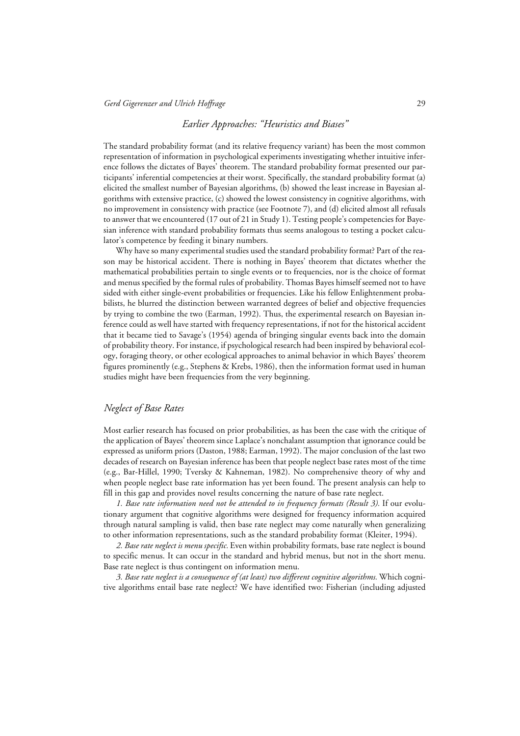## *Earlier Approaches: "Heuristics and Biases"*

The standard probability format (and its relative frequency variant) has been the most common representation of information in psychological experiments investigating whether intuitive inference follows the dictates of Bayes' theorem. The standard probability format presented our participants' inferential competencies at their worst. Specifically, the standard probability format (a) elicited the smallest number of Bayesian algorithms, (b) showed the least increase in Bayesian algorithms with extensive practice, (c) showed the lowest consistency in cognitive algorithms, with no improvement in consistency with practice (see Footnote 7), and (d) elicited almost all refusals to answer that we encountered (17 out of 21 in Study 1). Testing people's competencies for Bayesian inference with standard probability formats thus seems analogous to testing a pocket calculator's competence by feeding it binary numbers.

Why have so many experimental studies used the standard probability format? Part of the reason may be historical accident. There is nothing in Bayes' theorem that dictates whether the mathematical probabilities pertain to single events or to frequencies, nor is the choice of format and menus specified by the formal rules of probability. Thomas Bayes himself seemed not to have sided with either single-event probabilities or frequencies. Like his fellow Enlightenment probabilists, he blurred the distinction between warranted degrees of belief and objective frequencies by trying to combine the two (Earman, 1992). Thus, the experimental research on Bayesian inference could as well have started with frequency representations, if not for the historical accident that it became tied to Savage's (1954) agenda of bringing singular events back into the domain of probability theory. For instance, if psychological research had been inspired by behavioral ecology, foraging theory, or other ecological approaches to animal behavior in which Bayes' theorem figures prominently (e.g., Stephens & Krebs, 1986), then the information format used in human studies might have been frequencies from the very beginning.

### *Neglect of Base Rates*

Most earlier research has focused on prior probabilities, as has been the case with the critique of the application of Bayes' theorem since Laplace's nonchalant assumption that ignorance could be expressed as uniform priors (Daston, 1988; Earman, 1992). The major conclusion of the last two decades of research on Bayesian inference has been that people neglect base rates most of the time (e.g., Bar-Hillel, 1990; Tversky & Kahneman, 1982). No comprehensive theory of why and when people neglect base rate information has yet been found. The present analysis can help to fill in this gap and provides novel results concerning the nature of base rate neglect.

*1. Base rate information need not be attended to in frequency formats (Result 3).* If our evolutionary argument that cognitive algorithms were designed for frequency information acquired through natural sampling is valid, then base rate neglect may come naturally when generalizing to other information representations, such as the standard probability format (Kleiter, 1994).

*2. Base rate neglect is menu specific.* Even within probability formats, base rate neglect is bound to specific menus. It can occur in the standard and hybrid menus, but not in the short menu. Base rate neglect is thus contingent on information menu.

*3. Base rate neglect is a consequence of (at least) two different cognitive algorithms.* Which cognitive algorithms entail base rate neglect? We have identified two: Fisherian (including adjusted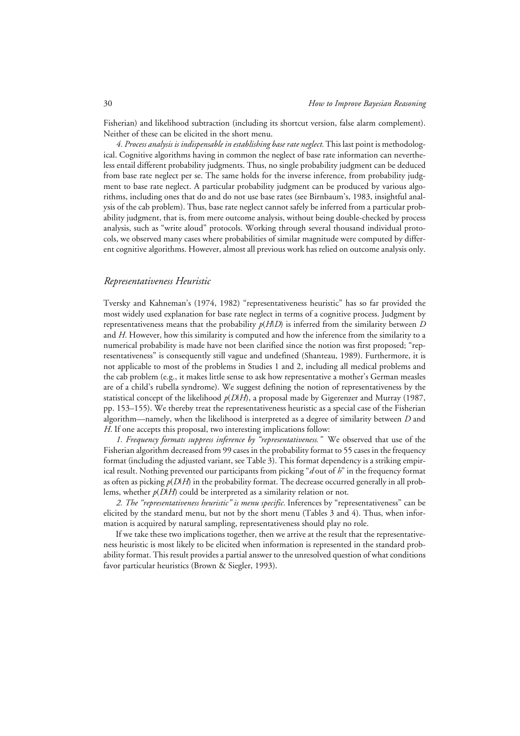Fisherian) and likelihood subtraction (including its shortcut version, false alarm complement). Neither of these can be elicited in the short menu.

*4. Process analysis is indispensable in establishing base rate neglect.* This last point is methodological. Cognitive algorithms having in common the neglect of base rate information can nevertheless entail different probability judgments. Thus, no single probability judgment can be deduced from base rate neglect per se. The same holds for the inverse inference, from probability judgment to base rate neglect. A particular probability judgment can be produced by various algorithms, including ones that do and do not use base rates (see Birnbaum's, 1983, insightful analysis of the cab problem). Thus, base rate neglect cannot safely be inferred from a particular probability judgment, that is, from mere outcome analysis, without being double-checked by process analysis, such as "write aloud" protocols. Working through several thousand individual protocols, we observed many cases where probabilities of similar magnitude were computed by different cognitive algorithms. However, almost all previous work has relied on outcome analysis only.

## *Representativeness Heuristic*

Tversky and Kahneman's (1974, 1982) "representativeness heuristic" has so far provided the most widely used explanation for base rate neglect in terms of a cognitive process. Judgment by representativeness means that the probability  $p(HD)$  is inferred from the similarity between  $D$ and *H.* However, how this similarity is computed and how the inference from the similarity to a numerical probability is made have not been clarified since the notion was first proposed; "representativeness" is consequently still vague and undefined (Shanteau, 1989). Furthermore, it is not applicable to most of the problems in Studies 1 and 2, including all medical problems and the cab problem (e.g., it makes little sense to ask how representative a mother's German measles are of a child's rubella syndrome). We suggest defining the notion of representativeness by the statistical concept of the likelihood  $p(D|H)$ , a proposal made by Gigerenzer and Murray (1987, pp. 153–155). We thereby treat the representativeness heuristic as a special case of the Fisherian algorithm—namely, when the likelihood is interpreted as a degree of similarity between *D* and *H.* If one accepts this proposal, two interesting implications follow:

*1. Frequency formats suppress inference by "representativeness."* We observed that use of the Fisherian algorithm decreased from 99 cases in the probability format to 55 cases in the frequency format (including the adjusted variant, see Table 3). This format dependency is a striking empirical result. Nothing prevented our participants from picking "*d* out of *h*" in the frequency format as often as picking *p*(*D*|*H*) in the probability format. The decrease occurred generally in all problems, whether *p*(*D*|*H*) could be interpreted as a similarity relation or not.

*2. The "representativeness heuristic" is menu specific.* Inferences by "representativeness" can be elicited by the standard menu, but not by the short menu (Tables 3 and 4). Thus, when information is acquired by natural sampling, representativeness should play no role.

If we take these two implications together, then we arrive at the result that the representativeness heuristic is most likely to be elicited when information is represented in the standard probability format. This result provides a partial answer to the unresolved question of what conditions favor particular heuristics (Brown & Siegler, 1993).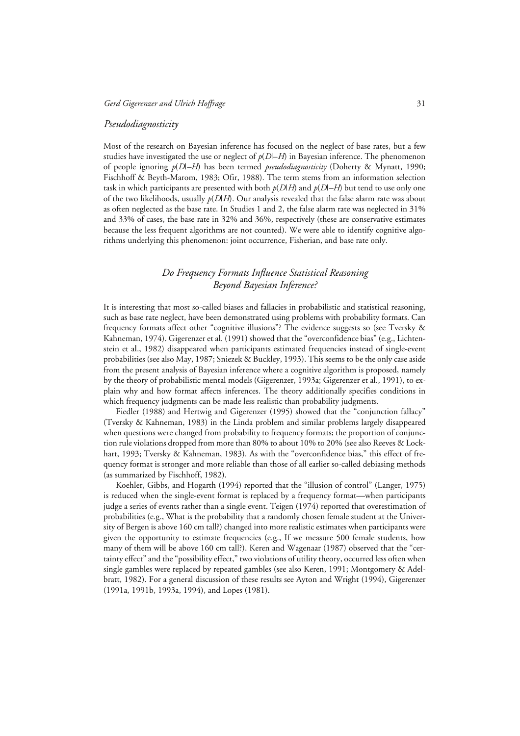#### *Gerd Gigerenzer and Ulrich Hoffrage* 31

### *Pseudodiagnosticity*

Most of the research on Bayesian inference has focused on the neglect of base rates, but a few studies have investigated the use or neglect of  $p(D|-H)$  in Bayesian inference. The phenomenon of people ignoring *p*(*D*|*–H*) has been termed *pseudodiagnosticity* (Doherty & Mynatt, 1990; Fischhoff & Beyth-Marom, 1983; Ofir, 1988). The term stems from an information selection task in which participants are presented with both  $p(D|H)$  and  $p(D|-H)$  but tend to use only one of the two likelihoods, usually *p*(*D*|*H*). Our analysis revealed that the false alarm rate was about as often neglected as the base rate. In Studies 1 and 2, the false alarm rate was neglected in 31% and 33% of cases, the base rate in 32% and 36%, respectively (these are conservative estimates because the less frequent algorithms are not counted). We were able to identify cognitive algorithms underlying this phenomenon: joint occurrence, Fisherian, and base rate only.

## *Do Frequency Formats Influence Statistical Reasoning Beyond Bayesian Inference?*

It is interesting that most so-called biases and fallacies in probabilistic and statistical reasoning, such as base rate neglect, have been demonstrated using problems with probability formats. Can frequency formats affect other "cognitive illusions"? The evidence suggests so (see Tversky & Kahneman, 1974). Gigerenzer et al. (1991) showed that the "overconfidence bias" (e.g., Lichtenstein et al., 1982) disappeared when participants estimated frequencies instead of single-event probabilities (see also May, 1987; Sniezek & Buckley, 1993). This seems to be the only case aside from the present analysis of Bayesian inference where a cognitive algorithm is proposed, namely by the theory of probabilistic mental models (Gigerenzer, 1993a; Gigerenzer et al., 1991), to explain why and how format affects inferences. The theory additionally specifies conditions in which frequency judgments can be made less realistic than probability judgments.

Fiedler (1988) and Hertwig and Gigerenzer (1995) showed that the "conjunction fallacy" (Tversky & Kahneman, 1983) in the Linda problem and similar problems largely disappeared when questions were changed from probability to frequency formats; the proportion of conjunction rule violations dropped from more than 80% to about 10% to 20% (see also Reeves & Lockhart, 1993; Tversky & Kahneman, 1983). As with the "overconfidence bias," this effect of frequency format is stronger and more reliable than those of all earlier so-called debiasing methods (as summarized by Fischhoff, 1982).

Koehler, Gibbs, and Hogarth (1994) reported that the "illusion of control" (Langer, 1975) is reduced when the single-event format is replaced by a frequency format—when participants judge a series of events rather than a single event. Teigen (1974) reported that overestimation of probabilities (e.g., What is the probability that a randomly chosen female student at the University of Bergen is above 160 cm tall?) changed into more realistic estimates when participants were given the opportunity to estimate frequencies (e.g., If we measure 500 female students, how many of them will be above 160 cm tall?). Keren and Wagenaar (1987) observed that the "certainty effect" and the "possibility effect," two violations of utility theory, occurred less often when single gambles were replaced by repeated gambles (see also Keren, 1991; Montgomery & Adelbratt, 1982). For a general discussion of these results see Ayton and Wright (1994), Gigerenzer (1991a, 1991b, 1993a, 1994), and Lopes (1981).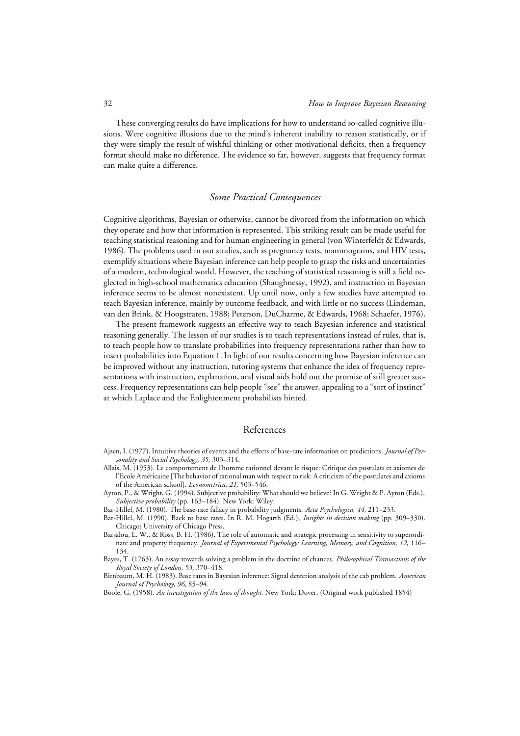These converging results do have implications for how to understand so-called cognitive illusions. Were cognitive illusions due to the mind's inherent inability to reason statistically, or if they were simply the result of wishful thinking or other motivational deficits, then a frequency format should make no difference. The evidence so far, however, suggests that frequency format can make quite a difference.

### *Some Practical Consequences*

Cognitive algorithms, Bayesian or otherwise, cannot be divorced from the information on which they operate and how that information is represented. This striking result can be made useful for teaching statistical reasoning and for human engineering in general (von Winterfeldt & Edwards, 1986). The problems used in our studies, such as pregnancy tests, mammograms, and HIV tests, exemplify situations where Bayesian inference can help people to grasp the risks and uncertainties of a modern, technological world. However, the teaching of statistical reasoning is still a field neglected in high-school mathematics education (Shaughnessy, 1992), and instruction in Bayesian inference seems to be almost nonexistent. Up until now, only a few studies have attempted to teach Bayesian inference, mainly by outcome feedback, and with little or no success (Lindeman, van den Brink, & Hoogstraten, 1988; Peterson, DuCharme, & Edwards, 1968; Schaefer, 1976).

The present framework suggests an effective way to teach Bayesian inference and statistical reasoning generally. The lesson of our studies is to teach representations instead of rules, that is, to teach people how to translate probabilities into frequency representations rather than how to insert probabilities into Equation 1. In light of our results concerning how Bayesian inference can be improved without any instruction, tutoring systems that enhance the idea of frequency representations with instruction, explanation, and visual aids hold out the promise of still greater success. Frequency representations can help people "see" the answer, appealing to a "sort of instinct" at which Laplace and the Enlightenment probabilists hinted.

#### References

- Ajzen, I. (1977). Intuitive theories of events and the effects of base-rate information on predictions. *Journal of Personality and Social Psychology, 35,* 303–314.
- Allais, M. (1953). Le comportement de l'homme rationnel devant le risque: Critique des postulats et axiomes de l'Ecole Américaine [The behavior of rational man with respect to risk: A criticism of the postulates and axioms of the American school]. *Economctrica, 21,* 503–546.
- Ayton, P., & Wright, G. (1994). Subjective probability: What should we believe? In G. Wright & P. Ayton (Eds.), *Subjective probability* (pp. 163–184). New York: Wiley.
- Bar-Hillel, M. (1980). The base-rate fallacy in probability judgments. *Acta Psychologica, 44,* 211–233.
- Bar-Hillel, M. (1990). Back to base rates. In R. M. Hogarth (Ed.), *Insights in decision making* (pp. 309–330). Chicago: University of Chicago Press.
- Barsalou, L. W., & Ross, B. H. (1986). The role of automatic and strategic processing in sensitivity to superordinate and property frequency. *Journal of Experimental Psychology: Learning, Memory, and Cognition, 12, 116* 134.
- Bayes, T. (1763). An essay towards solving a problem in the doctrine of chances. *Philosophical Transactions of the Royal Society of London, 53,* 370–418.
- Birnbaum, M. H. (1983). Base rates in Bayesian inference: Signal detection analysis of the cab problem. *American Journal of Psychology, 96,* 85–94.

Boole, G. (1958). *An investigation of the laws of thought.* New York: Dover. (Original work published 1854)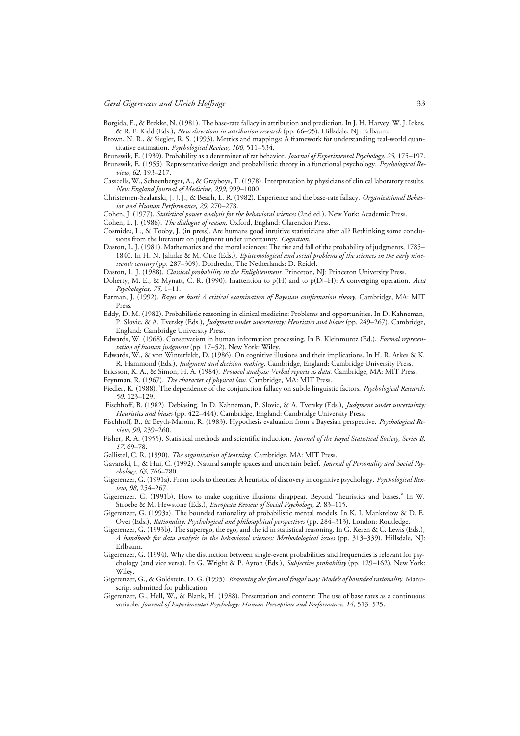Borgida, E., & Brekke, N. (1981). The base-rate fallacy in attribution and prediction. In J. H. Harvey, W. J. Ickes, & R. F. Kidd (Eds.), *New directions in attribution research* (pp. 66–95). Hillsdale, NJ: Erlbaum.

Brown, N. R., & Siegler, R. S. (1993). Metrics and mappings: A framework for understanding real-world quantitative estimation. *Psychological Review, 100,* 511–534.

Brunswik, E. (1939). Probability as a determiner of rat behavior. *Journal of Experimental Psychology, 25,* 175–197.

Brunswik, E. (1955). Representative design and probabilistic theory in a functional psychology. *Psychological Review, 62,* 193–217.

Casscells, W., Schoenberger, A., & Grayboys, T. (1978). Interpretation by physicians of clinical laboratory results. *New England Journal of Medicine, 299,* 999–1000.

Christensen-Szalanski, J. J. J., & Beach, L. R. (1982). Experience and the base-rate fallacy. *Organizational Behavior and Human Performance, 29,* 270–278.

Cohen, J. (1977). *Statistical power analysis for the behavioral sciences* (2nd ed.). New York: Academic Press.

Cohen, L. J. (1986). *The dialogue of reason.* Oxford, England: Clarendon Press.

Cosmides, L., & Tooby, J. (in press). Are humans good intuitive statisticians after all? Rethinking some conclusions from the literature on judgment under uncertainty. *Cognition.*

Daston, L. J. (1981). Mathematics and the moral sciences: The rise and fall of the probability of judgments, 1785– 1840. In H. N. Jahnke & M. Otte (Eds.), *Epistemological and social problems of the sciences in the early nineteenth century* (pp. 287–309). Dordrecht, The Netherlands: D. Reidel.

Daston, L. J. (1988). *Classical probability in the Enlightenment.* Princeton, NJ: Princeton University Press.

Doherty, M. E., & Mynatt, C. R. (1990). Inattention to p(H) and to p(D|–H): A converging operation. *Acta Psychologica, 75,* 1–11.

Earman, J. (1992). *Bayes or bust? A critical examination of Bayesian confirmation theory.* Cambridge, MA: MIT Press.

Eddy, D. M. (1982). Probabilistic reasoning in clinical medicine: Problems and opportunities. In D. Kahneman, P. Slovic, & A. Tversky (Eds.), *Judgment under uncertainty: Heuristics and biases* (pp. 249–267). Cambridge, England: Cambridge University Press.

Edwards, W. (1968). Conservatism in human information processing. In B. Kleinmuntz (Ed.), *Formal representation of human judgment* (pp. 17–52). New York: Wiley.

Edwards, W., & von Winterfeldt, D. (1986). On cognitive illusions and their implications. In H. R. Arkes & K. R. Hammond (Eds.), *Judgment and decision making.* Cambridge, England: Cambridge University Press.

Ericsson, K. A., & Simon, H. A. (1984). *Protocol analysis: Verbal reports as data.* Cambridge, MA: MIT Press.

Feynman, R. (1967). *The character of physical law.* Cambridge, MA: MIT Press.

Fiedler, K. (1988). The dependence of the conjunction fallacy on subtle linguistic factors. *Psychological Research, 50,* 123–129.

 Fischhoff, B. (1982). Debiasing. In D. Kahneman, P. Slovic, & A. Tversky (Eds.), *Judgment under uncertainty: Heuristics and biases* (pp. 422–444). Cambridge, England: Cambridge University Press.

Fischhoff, B., & Beyth-Marom, R. (1983). Hypothesis evaluation from a Bayesian perspective. *Psychological Review, 90,* 239–260.

Fisher, R. A. (1955). Statistical methods and scientific induction. *Journal of the Royal Statistical Society, Series B, 17,* 69–78.

Gallistel, C. R. (1990). *The organization of learning.* Cambridge, MA: MIT Press.

- Gavanski, I., & Hui, C. (1992). Natural sample spaces and uncertain belief. *Journal of Personality and Social Psychology, 63,* 766–780.
- Gigerenzer, G. (1991a). From tools to theories: A heuristic of discovery in cognitive psychology. *Psychological Rexiew, 98,* 254–267.
- Gigerenzer, G. (1991b). How to make cognitive illusions disappear. Beyond "heuristics and biases." In W. Stroebe & M. Hewstone (Eds.), *European Review of Social Psychology, 2,* 83–115.

Gigerenzer, G. (1993a). The bounded rationality of probabilistic mental models. In K. I. Manktelow & D. E. Over (Eds.), *Rationality: Psychological and philosophical perspectives* (pp. 284–313). London: Routledge.

- Gigerenzer, G. (1993b). The superego, the ego, and the id in statistical reasoning. In G. Keren & C. Lewis (Eds.), *A handbook for data analysis in the behavioral sciences: Methodological issues* (pp. 313–339). Hillsdale, NJ: Erlbaum.
- Gigerenzer, G. (1994). Why the distinction between single-event probabilities and frequencies is relevant for psychology (and vice versa). In G. Wright & P. Ayton (Eds.), *Subjective probability* (pp. 129–162). New York: Wiley.

Gigerenzer, G., & Goldstein, D. G. (1995). *Reasoning the fast and frugal way: Models of bounded rationality.* Manuscript submitted for publication.

Gigerenzer, G., Hell, W., & Blank, H. (1988). Presentation and content: The use of base rates as a continuous variable. *Journal of Experimental Psychology: Human Perception and Performance, 14,* 513–525.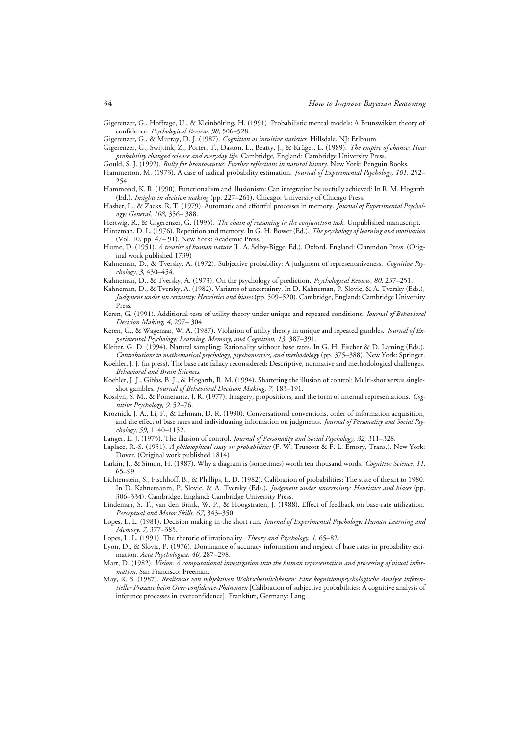Gigerenzer, G., Hoffrage, U., & Kleinbölting, H. (1991). Probabilistic mental models: A Brunswikian theory of confidence. *Psychological Review, 98,* 506–528.

Gigerenzer, G., & Murray, D. J. (1987). *Cognition as intuitive statistics.* Hillsdale. NJ: Erlbaum.

Gigerenzer, G., Swijtink, Z., Porter, T., Daston, L., Beatty, J., & Krüger, L. (1989). *The empire of chance: How probability changed science and everyday life.* Cambridge, England: Cambridge University Press.

Gould, S. J. (1992). *Bully for brontosaurus: Further reflections in natural history.* New York: Penguin Books.

Hammerton, M. (1973). A case of radical probability estimation. *Journal of Experimental Psychology, 101,* 252– 254.

Hammond, K. R. (1990). Functionalism and illusionism: Can integration be usefully achieved? In R. M. Hogarth (Ed.), *Insights in decision making* (pp. 227–261). Chicago: University of Chicago Press.

Hasher, L.. & Zacks. R. T. (1979). Automatic and effortful processes in memory. *Journal of Experimental Psychology: General, 108,* 356– 388.

Hertwig, R., & Gigerenzer, G. (1995). *The chain of reasoning in the conjunction task.* Unpublished manuscript.

Hintzman, D. L. (1976). Repetition and memory. In G. H. Bower (Ed.), *The psychology of learning and motivation* (Vol. 10, pp. 47– 91). New York: Academic Press.

Hume, D. (1951). *A treatise of human nature* (L. A. Selby-Bigge, Ed.). Oxford. England: Clarendon Press. (Original work published 1739)

Kahneman, D., & Tversky, A. (1972). Subjective probability: A judgment of representativeness. *Cognitive Psychology, 3,* 430–454.

Kahneman, D., & Tversky, A. (1973). On the psychology of prediction. *Psychological Review, 80,* 237–251.

- Kahneman, D., & Tversky, A. (1982). Variants of uncertainty. In D. Kahneman, P. Slovic, & A. Tversky (Eds.), *Judgment under un certainty: Heuristics and biases* (pp. 509–520). Cambridge, England: Cambridge University Press.
- Keren, G. (1991). Additional tests of utility theory under unique and repeated conditions. *Journal of Behavioral Decision Making, 4,* 297– 304.
- Keren, G., & Wagenaar, W. A. (1987). Violation of utility theory in unique and repeated gambles. *Journal of Experimental Psychology: Learning, Memory, and Cognition, 13,* 387–391.

Kleiter, G. D. (1994). Natural sampling: Rationality without base rates. In G. H. Fischer & D. Laming (Eds.),

*Contributions to mathematical psychology, psyxhometrics, and methodology* (pp. 375–388). New York: Springer. Koehler, J. J. (in press). The base rate fallacy reconsidered: Descriptive, normative and methodological challenges. *Behavioral and Brain Sciences.*

Koehler, J. J., Gibbs, B. J., & Hogarth, R. M. (1994). Shattering the illusion of control: Multi-shot versus singleshot gambles. *Journal of Behavioral Decision Making, 7,* 183–191.

Kosslyn, S. M., & Pomerantz, J. R. (1977). Imagery, propositions, and the form of internal representations. *Cognitive Psychology, 9,* 52–76.

Kroznick, J. A., Li, F., & Lehman, D. R. (1990). Conversational conventions, order of information acquisition, and the effect of base rates and individuating information on judgments. *Journal of Personality and Social Psychology, 59,* 1140–1152.

Langer, E. J. (1975). The illusion of control. *Journal of Personality and Social Psychology, 32,* 311–328.

Laplace, R.-S. (1951). *A philosophical essay on probabilities* (F. W. Truscott & F. L. Emory, Trans.). New York: Dover. (Original work published 1814)

- Larkin, J., & Simon, H. (1987). Why a diagram is (sometimes) worth ten thousand words. *Cognitive Science, 11,* 65–99.
- Lichtenstein, S., Fischhoff. B., & Phillips, L. D. (1982). Calibration of probabilities: The state of the art to 1980. In D. Kahnemanm, P. Slovic, & A. Tversky (Eds.), *Judgment under uncertainty: Heuristics and biases* (pp. 306–334). Cambridge, England: Cambridge University Press.

Lindeman, S. T., van den Brink, W. P., & Hoogstraten, J. (1988). Effect of feedback on base-rate utilization. *Perceptual and Motor Skills, 67,* 343–350.

Lopes, L. L. (1981). Decision making in the short run. *Journal of Experimental Psychology: Human Learning and Memory, 7,* 377–385.

Lopes, L. L. (1991). The rhetoric of irrationality. *Theory and Psychology, 1,* 65–82.

Lyon, D., & Slovic, P. (1976). Dominance of accuracy information and neglect of base rates in probability estimation. *Acta Psychologica, 40,* 287–298.

Marr, D. (1982). *Vision: A computational investigation into the human representation and processing of visual information.* San Francisco: Freeman.

May, R. S. (1987). *Realismus von subjektiven Wahrscheinlichkeiten: Eine kognitionspsychologische Analyse inferentieller Prozesse beim Over-confidence-Phänomen* [Calibration of subjective probabilities: A cognitive analysis of inference processes in overconfidence]. Frankfurt, Germany: Lang.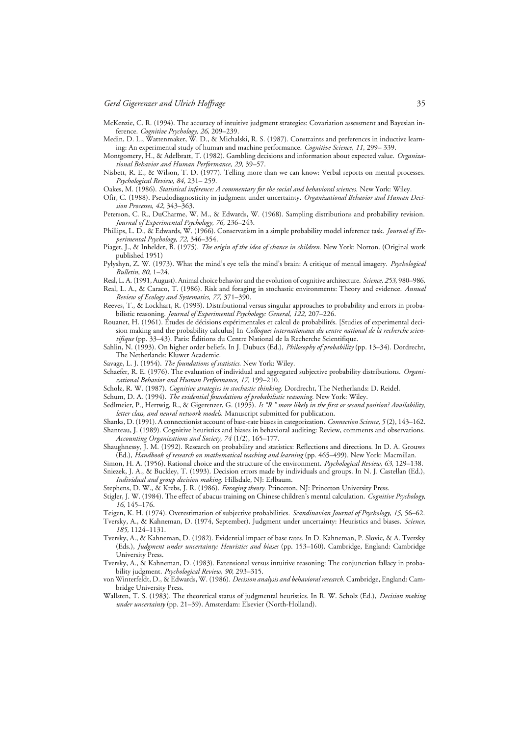McKenzie, C. R. (1994). The accuracy of intuitive judgment strategies: Covariation assessment and Bayesian inference. *Cognitive Psychology, 26,* 209–239.

Medin, D. L., Wattenmaker, W. D., & Michalski, R. S. (1987). Constraints and preferences in inductive learning: An experimental study of human and machine performance. *Cognitive Science, 11,* 299– 339.

Montgomery, H., & Adelbratt, T. (1982). Gambling decisions and information about expected value. *Organizational Behavior and Human Performance, 29,* 39–57.

Nisbett, R. E., & Wilson, T. D. (1977). Telling more than we can know: Verbal reports on mental processes. *Psychological Review, 84,* 231– 259.

Oakes, M. (1986). *Statistical inference: A commentary for the social and behavioral sciences.* New York: Wiley.

Ofir, C. (1988). Pseudodiagnosticity in judgment under uncertainty. *Organizational Behavior and Human Decision Processes, 42,* 343–363.

Peterson, C. R., DuCharme, W. M., & Edwards, W. (1968). Sampling distributions and probability revision. *Journal of Experimental Psychology, 76,* 236–243.

Phillips, L. D., & Edwards, W. (1966). Conservatism in a simple probability model inference task. *Journal of Experimental Psychology, 72,* 346–354.

Piaget, J., & Inhelder, B. (1975). *The origin of the idea of chance in children.* New York: Norton. (Original work published 1951)

Pylyshyn, Z. W. (1973). What the mind's eye tells the mind's brain: A critique of mental imagery. *Psychological Bulletin, 80,* 1–24.

Real, L. A. (1991, August). Animal choice behavior and the evolution of cognitive architecture. *Science, 253,* 980–986.

Real, L. A., & Caraco, T. (1986). Risk and foraging in stochastic environments: Theory and evidence. *Annual Review of Ecology and Systematics, 77,* 371–390.

Reeves, T., & Lockhart, R. (1993). Distributional versus singular approaches to probability and errors in probabilistic reasoning. *Journal of Experimental Psychology: General, 122,* 207–226.

Rouanet, H. (1961). Études de décisions expérimentales et calcul de probabilités. [Studies of experimental decision making and the probability calculus] In *Colloques internationaux du centre national de la recherche scientifique* (pp. 33–43). Paris: Éditions du Centre National de la Recherche Scientifique.

Sahlin, N. (1993). On higher order beliefs. In J. Dubucs (Ed.), *Philosophy of probability* (pp. 13–34). Dordrecht, The Netherlands: Kluwer Academic.

Savage, L. J. (1954). *The foundations of statistics.* New York: Wiley.

Schaefer, R. E. (1976). The evaluation of individual and aggregated subjective probability distributions. *Organizational Behavior and Human Performance, 17,* 199–210.

Scholz, R. W. (1987). *Cognitive strategies in stochastic thinking.* Dordrecht, The Netherlands: D. Reidel.

Schum, D. A. (1994). *The evidential foundations of probabilistic reasoning.* New York: Wiley.

Sedlmeier, P., Hertwig, R., & Gigerenzer, G. (1995). *Is "R " more likely in the first or second position? Availability, letter class, and neural network models.* Manuscript submitted for publication.

Shanks, D. (1991). A connectionist account of base-rate biases in categorization. *Connection Science, 5* (2), 143–162. Shanteau, J. (1989). Cognitive heuristics and biases in behavioral auditing: Review, comments and observations. *Accounting Organizations and Society, 74* (1/2), 165–177.

Shaughnessy, J. M. (1992). Research on probability and statistics: Reflections and directions. In D. A. Grouws (Ed.), *Handbook of research on mathematical teaching and learning* (pp. 465–499). New York: Macmillan.

Simon, H. A. (1956). Rational choice and the structure of the environment. *Psychological Review, 63,* 129–138. Sniezek, J. A., & Buckley, T. (1993). Decision errors made by individuals and groups. In N. J. Castellan (Ed.), *Individual and group decision making.* Hillsdale, NJ: Erlbaum.

Stephens, D. W., & Krebs, J. R. (1986). *Foraging theory.* Princeton, NJ: Princeton University Press.

Stigler, J. W. (1984). The effect of abacus training on Chinese children's mental calculation. *Cognitive Psychology, 16,* 145–176.

Teigen, K. H. (1974). Overestimation of subjective probabilities. *Scandinavian Journal of Psychology, 15,* 56–62.

Tversky, A., & Kahneman, D. (1974, September). Judgment under uncertainty: Heuristics and biases. *Science, 185,* 1124–1131.

Tversky, A., & Kahneman, D. (1982). Evidential impact of base rates. In D. Kahneman, P. Slovic, & A. Tversky (Eds.), *Judgment under uncertainty: Heuristics and biases* (pp. 153–160). Cambridge, England: Cambridge University Press.

Tversky, A., & Kahneman, D. (1983). Extensional versus intuitive reasoning: The conjunction fallacy in probability judgment. *Psychological Review, 90,* 293–315.

von Winterfeldt, D., & Edwards, W. (1986). *Decision analysis and behavioral research.* Cambridge, England: Cambridge University Press.

Wallsten, T. S. (1983). The theoretical status of judgmental heuristics. In R. W. Scholz (Ed.), *Decision making under uncertainty* (pp. 21–39). Amsterdam: Elsevier (North-Holland).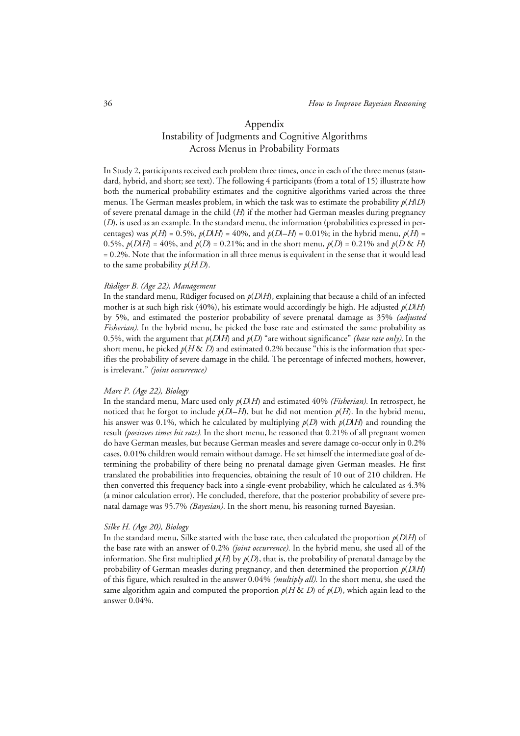## Appendix Instability of Judgments and Cognitive Algorithms Across Menus in Probability Formats

In Study 2, participants received each problem three times, once in each of the three menus (standard, hybrid, and short; see text). The following 4 participants (from a total of 15) illustrate how both the numerical probability estimates and the cognitive algorithms varied across the three menus. The German measles problem, in which the task was to estimate the probability  $p(H|D)$ of severe prenatal damage in the child (*H*) if the mother had German measles during pregnancy (*D*), is used as an example. In the standard menu, the information (probabilities expressed in percentages) was  $p(H) = 0.5\%$ ,  $p(D|H) = 40\%$ , and  $p(D-H) = 0.01\%$ ; in the hybrid menu,  $p(H) = 0.01\%$ 0.5%,  $p(D|H) = 40$ %, and  $p(D) = 0.21$ %; and in the short menu,  $p(D) = 0.21$ % and  $p(D \& H)$ = 0.2%. Note that the information in all three menus is equivalent in the sense that it would lead to the same probability  $p(H|D)$ .

#### *Rüdiger B. (Age 22), Management*

In the standard menu, Rüdiger focused on  $p(D|H)$ , explaining that because a child of an infected mother is at such high risk (40%), his estimate would accordingly be high. He adjusted *p*(*D*|*H*) by 5%, and estimated the posterior probability of severe prenatal damage as 35% *(adjusted Fisherian).* In the hybrid menu, he picked the base rate and estimated the same probability as 0.5%, with the argument that  $p(D|H)$  and  $p(D)$  "are without significance" *(base rate only)*. In the short menu, he picked  $p(H \& D)$  and estimated 0.2% because "this is the information that specifies the probability of severe damage in the child. The percentage of infected mothers, however, is irrelevant." *(joint occurrence)*

#### *Marc P. (Age 22), Biology*

In the standard menu, Marc used only *p*(*D*|*H*) and estimated 40% *(Fisherian).* In retrospect, he noticed that he forgot to include  $p(D|-H)$ , but he did not mention  $p(H)$ . In the hybrid menu, his answer was 0.1%, which he calculated by multiplying *p*(*D*) with *p*(*D*|*H*) and rounding the result *(positives times hit rate).* In the short menu, he reasoned that 0.21% of all pregnant women do have German measles, but because German measles and severe damage co-occur only in 0.2% cases, 0.01% children would remain without damage. He set himself the intermediate goal of determining the probability of there being no prenatal damage given German measles. He first translated the probabilities into frequencies, obtaining the result of 10 out of 210 children. He then converted this frequency back into a single-event probability, which he calculated as 4.3% (a minor calculation error). He concluded, therefore, that the posterior probability of severe prenatal damage was 95.7% *(Bayesian).* In the short menu, his reasoning turned Bayesian.

#### *Silke H. (Age 20), Biology*

In the standard menu, Silke started with the base rate, then calculated the proportion *p*(*D*|*H*) of the base rate with an answer of 0.2% *(joint occurrence).* In the hybrid menu, she used all of the information. She first multiplied  $p(H)$  by  $p(D)$ , that is, the probability of prenatal damage by the probability of German measles during pregnancy, and then determined the proportion *p*(*D*|*H*) of this figure, which resulted in the answer 0.04% *(multiply all).* In the short menu, she used the same algorithm again and computed the proportion  $p(H \& D)$  of  $p(D)$ , which again lead to the answer 0.04%.